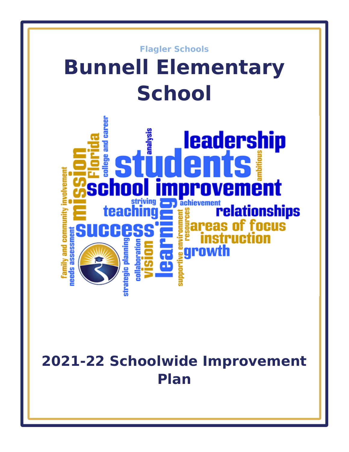

# **2021-22 Schoolwide Improvement Plan**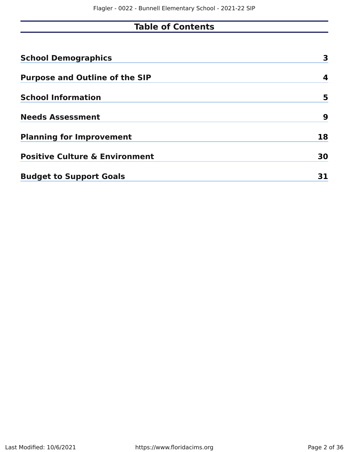# **Table of Contents**

| <b>School Demographics</b>                | 3  |
|-------------------------------------------|----|
| <b>Purpose and Outline of the SIP</b>     | 4  |
| <b>School Information</b>                 | 5  |
| <b>Needs Assessment</b>                   | 9  |
| <b>Planning for Improvement</b>           | 18 |
| <b>Positive Culture &amp; Environment</b> | 30 |
| <b>Budget to Support Goals</b>            |    |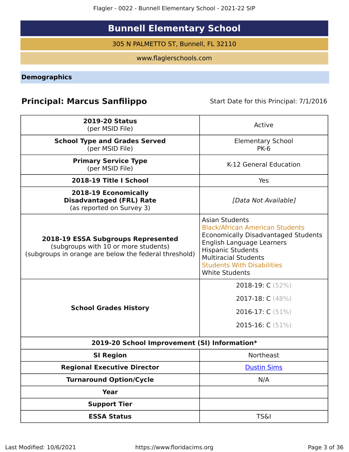Flagler - 0022 - Bunnell Elementary School - 2021-22 SIP

# **Bunnell Elementary School**

305 N PALMETTO ST, Bunnell, FL 32110

www.flaglerschools.com

<span id="page-2-0"></span>**Demographics**

# **Principal: Marcus Sanfilippo** Start Date for this Principal: 7/1/2016

| <b>2019-20 Status</b><br>(per MSID File)                                                                                            | Active                                                                                                                                                                                                                                                              |
|-------------------------------------------------------------------------------------------------------------------------------------|---------------------------------------------------------------------------------------------------------------------------------------------------------------------------------------------------------------------------------------------------------------------|
| <b>School Type and Grades Served</b><br>(per MSID File)                                                                             | <b>Elementary School</b><br><b>PK-6</b>                                                                                                                                                                                                                             |
| <b>Primary Service Type</b><br>(per MSID File)                                                                                      | K-12 General Education                                                                                                                                                                                                                                              |
| 2018-19 Title I School                                                                                                              | Yes                                                                                                                                                                                                                                                                 |
| 2018-19 Economically<br><b>Disadvantaged (FRL) Rate</b><br>(as reported on Survey 3)                                                | [Data Not Available]                                                                                                                                                                                                                                                |
| 2018-19 ESSA Subgroups Represented<br>(subgroups with 10 or more students)<br>(subgroups in orange are below the federal threshold) | <b>Asian Students</b><br><b>Black/African American Students</b><br><b>Economically Disadvantaged Students</b><br>English Language Learners<br><b>Hispanic Students</b><br><b>Multiracial Students</b><br><b>Students With Disabilities</b><br><b>White Students</b> |
|                                                                                                                                     | 2018-19: C (52%)                                                                                                                                                                                                                                                    |
|                                                                                                                                     | 2017-18: C (48%)                                                                                                                                                                                                                                                    |
| <b>School Grades History</b>                                                                                                        | 2016-17: C (51%)                                                                                                                                                                                                                                                    |
|                                                                                                                                     | 2015-16: $C(51%)$                                                                                                                                                                                                                                                   |
| 2019-20 School Improvement (SI) Information*                                                                                        |                                                                                                                                                                                                                                                                     |
| <b>SI Region</b>                                                                                                                    | Northeast                                                                                                                                                                                                                                                           |
| <b>Regional Executive Director</b>                                                                                                  | <b>Dustin Sims</b>                                                                                                                                                                                                                                                  |
| <b>Turnaround Option/Cycle</b>                                                                                                      | N/A                                                                                                                                                                                                                                                                 |
| <b>Year</b>                                                                                                                         |                                                                                                                                                                                                                                                                     |
| <b>Support Tier</b>                                                                                                                 |                                                                                                                                                                                                                                                                     |
| <b>ESSA Status</b>                                                                                                                  | <b>TS&amp;I</b>                                                                                                                                                                                                                                                     |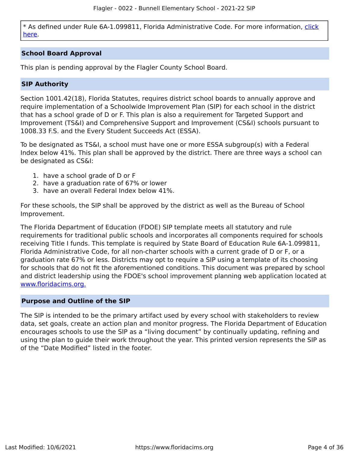\* As defined under Rule 6A-1.099811, Florida Administrative Code. For more information, [click](/downloads?category=da-forms) [here](/downloads?category=da-forms).

# **School Board Approval**

This plan is pending approval by the Flagler County School Board.

# **SIP Authority**

Section 1001.42(18), Florida Statutes, requires district school boards to annually approve and require implementation of a Schoolwide Improvement Plan (SIP) for each school in the district that has a school grade of D or F. This plan is also a requirement for Targeted Support and Improvement (TS&I) and Comprehensive Support and Improvement (CS&I) schools pursuant to 1008.33 F.S. and the Every Student Succeeds Act (ESSA).

To be designated as TS&I, a school must have one or more ESSA subgroup(s) with a Federal Index below 41%. This plan shall be approved by the district. There are three ways a school can be designated as CS&I:

- 1. have a school grade of D or F
- 2. have a graduation rate of 67% or lower
- 3. have an overall Federal Index below 41%.

For these schools, the SIP shall be approved by the district as well as the Bureau of School Improvement.

The Florida Department of Education (FDOE) SIP template meets all statutory and rule requirements for traditional public schools and incorporates all components required for schools receiving Title I funds. This template is required by State Board of Education Rule 6A-1.099811, Florida Administrative Code, for all non-charter schools with a current grade of D or F, or a graduation rate 67% or less. Districts may opt to require a SIP using a template of its choosing for schools that do not fit the aforementioned conditions. This document was prepared by school and district leadership using the FDOE's school improvement planning web application located at [www.floridacims.org.](https://www.floridacims.org)

# <span id="page-3-0"></span>**Purpose and Outline of the SIP**

The SIP is intended to be the primary artifact used by every school with stakeholders to review data, set goals, create an action plan and monitor progress. The Florida Department of Education encourages schools to use the SIP as a "living document" by continually updating, refining and using the plan to guide their work throughout the year. This printed version represents the SIP as of the "Date Modified" listed in the footer.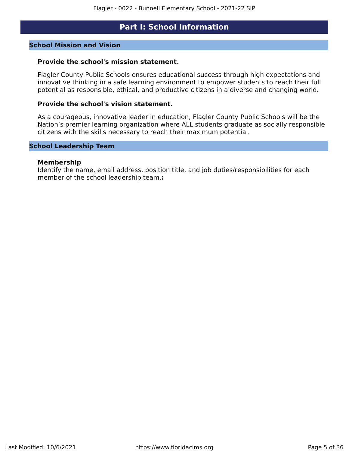# **Part I: School Information**

# <span id="page-4-0"></span>**School Mission and Vision**

#### **Provide the school's mission statement.**

Flagler County Public Schools ensures educational success through high expectations and innovative thinking in a safe learning environment to empower students to reach their full potential as responsible, ethical, and productive citizens in a diverse and changing world.

#### **Provide the school's vision statement.**

As a courageous, innovative leader in education, Flagler County Public Schools will be the Nation's premier learning organization where ALL students graduate as socially responsible citizens with the skills necessary to reach their maximum potential.

# **School Leadership Team**

#### **Membership**

Identify the name, email address, position title, and job duties/responsibilities for each member of the school leadership team.**:**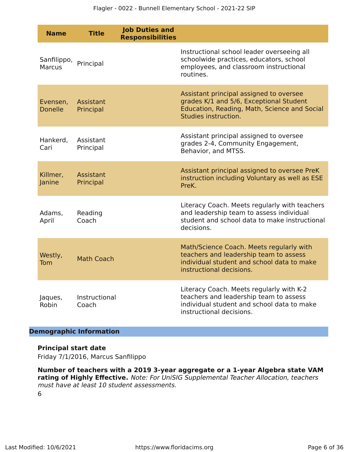| <b>Name</b>                  | <b>Title</b>           | <b>Job Duties and</b><br><b>Responsibilities</b> |                                                                                                                                                              |
|------------------------------|------------------------|--------------------------------------------------|--------------------------------------------------------------------------------------------------------------------------------------------------------------|
| Sanfilippo,<br><b>Marcus</b> | Principal              |                                                  | Instructional school leader overseeing all<br>schoolwide practices, educators, school<br>employees, and classroom instructional<br>routines.                 |
| Evensen,<br><b>Donelle</b>   | Assistant<br>Principal |                                                  | Assistant principal assigned to oversee<br>grades K/1 and 5/6, Exceptional Student<br>Education, Reading, Math, Science and Social<br>Studies instruction.   |
| Hankerd,<br>Cari             | Assistant<br>Principal |                                                  | Assistant principal assigned to oversee<br>grades 2-4, Community Engagement,<br>Behavior, and MTSS.                                                          |
| Killmer,<br>Janine           | Assistant<br>Principal |                                                  | Assistant principal assigned to oversee PreK<br>instruction including Voluntary as well as ESE<br>PreK.                                                      |
| Adams,<br>April              | Reading<br>Coach       |                                                  | Literacy Coach. Meets regularly with teachers<br>and leadership team to assess individual<br>student and school data to make instructional<br>decisions.     |
| Westly,<br>Tom               | <b>Math Coach</b>      |                                                  | Math/Science Coach. Meets regularly with<br>teachers and leadership team to assess<br>individual student and school data to make<br>instructional decisions. |
| Jaques,<br>Robin             | Instructional<br>Coach |                                                  | Literacy Coach. Meets regularly with K-2<br>teachers and leadership team to assess<br>individual student and school data to make<br>instructional decisions. |

# **Demographic Information**

# **Principal start date**

Friday 7/1/2016, Marcus Sanfilippo

**Number of teachers with a 2019 3-year aggregate or a 1-year Algebra state VAM rating of Highly Effective.** Note: For UniSIG Supplemental Teacher Allocation, teachers must have at least 10 student assessments. 6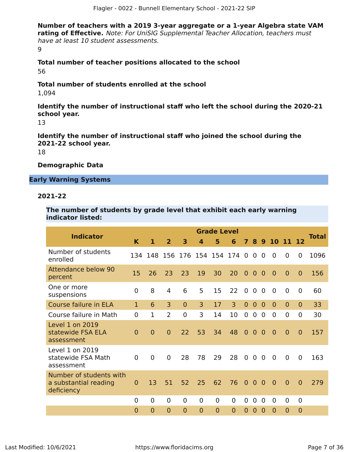**Number of teachers with a 2019 3-year aggregate or a 1-year Algebra state VAM rating of Effective.** Note: For UniSIG Supplemental Teacher Allocation, teachers must have at least 10 student assessments. 9

**Total number of teacher positions allocated to the school** 56

# **Total number of students enrolled at the school**

1,094

**Identify the number of instructional staff who left the school during the 2020-21 school year.**

13

**Identify the number of instructional staff who joined the school during the 2021-22 school year.**

18

# **Demographic Data**

# **Early Warning Systems**

# **2021-22**

**The number of students by grade level that exhibit each early warning indicator listed:**

|                                                                |              |                |                |                           |                  | <b>Grade Level</b> |                |                |                |                |                |                |                |       |
|----------------------------------------------------------------|--------------|----------------|----------------|---------------------------|------------------|--------------------|----------------|----------------|----------------|----------------|----------------|----------------|----------------|-------|
| <b>Indicator</b>                                               | K            | 1              | $\overline{2}$ | 3                         | $\boldsymbol{A}$ | 5                  | 6              | $\overline{7}$ |                |                |                | 8 9 10 11 12   |                | Total |
| Number of students<br>enrolled                                 | 134          |                |                | 148 156 176 154 154 174 0 |                  |                    |                |                | $\overline{0}$ | $\overline{0}$ | $\overline{0}$ | $\Omega$       | 0              | 1096  |
| <b>Attendance below 90</b><br>percent                          | 15           | 26             | 23             | 23                        | 19               | 30                 | 20             | $\overline{0}$ | $\overline{0}$ | $\overline{0}$ | $\Omega$       | $\overline{0}$ | $\overline{0}$ | 156   |
| One or more<br>suspensions                                     | $\Omega$     | 8              | $\overline{4}$ | 6                         | 5                | 15                 | 22             | $\mathbf 0$    | $\overline{0}$ | $\mathbf 0$    | $\mathbf 0$    | $\Omega$       | $\overline{0}$ | 60    |
| Course failure in ELA                                          | $\mathbf{1}$ | 6              | 3              | $\Omega$                  | 3                | 17                 | 3              | $\Omega$       | $\mathbf{0}$   | $\Omega$       | $\Omega$       | $\Omega$       | $\Omega$       | 33    |
| Course failure in Math                                         | $\Omega$     | 1              | $\overline{2}$ | $\overline{0}$            | 3                | 14                 | 10             | $\Omega$       | $\mathbf 0$    | $\overline{0}$ | $\Omega$       | $\Omega$       | $\overline{0}$ | 30    |
| Level 1 on 2019<br>statewide FSA ELA<br>assessment             | $\Omega$     | $\overline{0}$ | $\overline{0}$ | 22                        | 53               | 34                 | 48             | $\overline{0}$ | $\Omega$       | $\overline{0}$ | $\Omega$       | $\overline{0}$ | $\overline{0}$ | 157   |
| Level 1 on 2019<br>statewide FSA Math<br>assessment            | $\Omega$     | $\overline{0}$ | $\Omega$       | 28                        | 78               | 29                 | 28             | $\overline{0}$ | $\overline{0}$ | $\overline{0}$ | $\overline{0}$ | $\Omega$       | $\Omega$       | 163   |
| Number of students with<br>a substantial reading<br>deficiency | $\mathbf{0}$ | 13             | 51             | 52                        | 25               | 62                 | 76             | $\overline{0}$ | $\overline{0}$ | $\overline{0}$ | $\overline{0}$ | $\overline{0}$ | $\overline{0}$ | 279   |
|                                                                | $\Omega$     | $\overline{0}$ | $\overline{0}$ | $\Omega$                  | $\overline{0}$   | $\Omega$           | $\Omega$       | 0              | $\overline{0}$ | 0              | $\overline{0}$ | $\overline{0}$ | $\Omega$       |       |
|                                                                | $\Omega$     | $\overline{0}$ | $\overline{0}$ | $\overline{0}$            | $\overline{0}$   | $\overline{0}$     | $\overline{0}$ | $\Omega$       | $\Omega$       | $\Omega$       | $\overline{0}$ | $\overline{0}$ | $\overline{0}$ |       |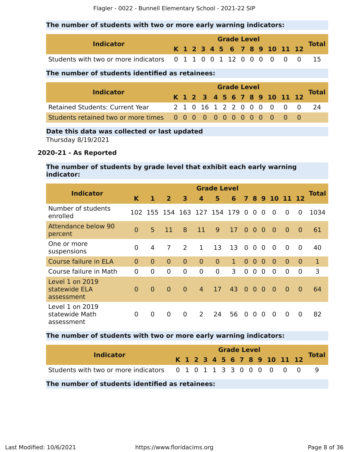# **The number of students with two or more early warning indicators:**

| <b>Indicator</b>                                                  |  |  |  | <b>Grade Level</b> |  |                              |  |              |
|-------------------------------------------------------------------|--|--|--|--------------------|--|------------------------------|--|--------------|
|                                                                   |  |  |  |                    |  | K 1 2 3 4 5 6 7 8 9 10 11 12 |  | <b>Total</b> |
| Students with two or more indicators 0 1 1 0 0 1 12 0 0 0 0 0 0 0 |  |  |  |                    |  |                              |  |              |

# **The number of students identified as retainees:**

| <b>Indicator</b>                |  | <b>Grade Level</b> |  |  |  |  |  |  |  |  |  |                              |                            |              |  |
|---------------------------------|--|--------------------|--|--|--|--|--|--|--|--|--|------------------------------|----------------------------|--------------|--|
|                                 |  |                    |  |  |  |  |  |  |  |  |  | K 1 2 3 4 5 6 7 8 9 10 11 12 |                            | <b>Total</b> |  |
| Retained Students: Current Year |  |                    |  |  |  |  |  |  |  |  |  |                              | 2 1 0 16 1 2 2 0 0 0 0 0 0 | - 24         |  |
|                                 |  |                    |  |  |  |  |  |  |  |  |  |                              |                            |              |  |

# **Date this data was collected or last updated**

Thursday 8/19/2021

# **2020-21 - As Reported**

# **The number of students by grade level that exhibit each early warning indicator:**

| <b>Indicator</b>                                |                |                |                |                | <b>Grade Level</b> |                             |              |                |                |                |                |                | <b>Total</b>   |              |
|-------------------------------------------------|----------------|----------------|----------------|----------------|--------------------|-----------------------------|--------------|----------------|----------------|----------------|----------------|----------------|----------------|--------------|
|                                                 | K              | 1              | $\overline{2}$ | 3              | 4                  | 5                           | 6            |                |                |                |                | 7 8 9 10 11 12 |                |              |
| Number of students<br>enrolled                  |                |                |                |                |                    | 102 155 154 163 127 154 179 |              | $\overline{0}$ | $\Omega$       | $\Omega$       | $\overline{0}$ | $\overline{0}$ | 0              | 1034         |
| <b>Attendance below 90</b><br>percent           | $\Omega$       | 5              | 11             | 8              | 11                 | 9                           | 17           | $\Omega$       | $\Omega$       | $\overline{0}$ | $\Omega$       | $\overline{0}$ | $\Omega$       | 61           |
| One or more<br>suspensions                      | $\mathbf{0}$   | 4              | 7              | 2              | $\mathbf{1}$       | 13                          | 13           | $\overline{0}$ | $\overline{0}$ | $\overline{0}$ | $\overline{0}$ | $\mathbf{0}$   | $\mathbf 0$    | 40           |
| Course failure in ELA                           | $\Omega$       | $\overline{0}$ | $\overline{0}$ | $\Omega$       | $\overline{0}$     | $\overline{0}$              | $\mathbf{1}$ | $\overline{0}$ | $\mathbf{0}$   | $\Omega$       | $\overline{0}$ | $\overline{0}$ | $\Omega$       | $\mathbf{1}$ |
| Course failure in Math                          | $\Omega$       | $\overline{0}$ | $\overline{0}$ | $\overline{0}$ | 0                  | $\overline{0}$              | 3            | $\Omega$       | 0              | $\mathbf{0}$   | $\overline{0}$ | $\Omega$       | 0              | 3            |
| Level 1 on 2019<br>statewide ELA<br>assessment  | $\Omega$       | $\overline{0}$ | $\Omega$       | $\Omega$       | $\overline{4}$     | 17                          | 43           | $\overline{0}$ | $\overline{0}$ | $\overline{0}$ | $\overline{0}$ | $\overline{0}$ | $\overline{0}$ | 64           |
| Level 1 on 2019<br>statewide Math<br>assessment | $\overline{0}$ | $\overline{0}$ | $\overline{0}$ | $\overline{0}$ | $\mathcal{L}$      | 24                          | 56           | $\overline{0}$ | $\Omega$       | $\Omega$       | $\overline{0}$ | $\Omega$       | 0              | 82           |

# **The number of students with two or more early warning indicators:**

| <b>Indicator</b>                                                 |  |  |  |  | <b>Grade Level</b> |  |                              |              |
|------------------------------------------------------------------|--|--|--|--|--------------------|--|------------------------------|--------------|
|                                                                  |  |  |  |  |                    |  | K 1 2 3 4 5 6 7 8 9 10 11 12 | <b>Total</b> |
| Students with two or more indicators 0 1 0 1 1 3 3 0 0 0 0 0 0 0 |  |  |  |  |                    |  |                              |              |
| The number of students identified as retainees:                  |  |  |  |  |                    |  |                              |              |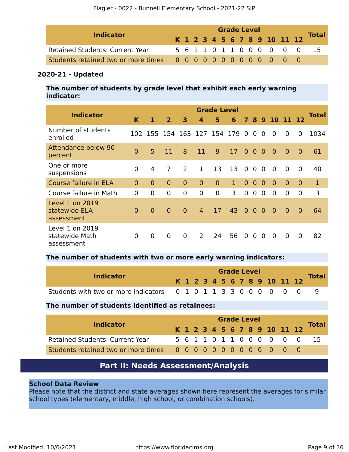| <b>Indicator</b>                       |  | <b>Grade Level</b> |  |  |  |  |  |  |  |  |  |                              |                           |              |  |  |
|----------------------------------------|--|--------------------|--|--|--|--|--|--|--|--|--|------------------------------|---------------------------|--------------|--|--|
|                                        |  |                    |  |  |  |  |  |  |  |  |  | K 1 2 3 4 5 6 7 8 9 10 11 12 |                           | <b>Total</b> |  |  |
| <b>Retained Students: Current Year</b> |  |                    |  |  |  |  |  |  |  |  |  |                              | 5 6 1 1 0 1 1 0 0 0 0 0 0 | -15          |  |  |
|                                        |  |                    |  |  |  |  |  |  |  |  |  |                              |                           |              |  |  |

# **2020-21 - Updated**

**The number of students by grade level that exhibit each early warning indicator:**

| <b>Indicator</b>                                |                |                               |                |                |                | <b>Grade Level</b> |              |                |                |                |                |                |                | <b>Total</b> |
|-------------------------------------------------|----------------|-------------------------------|----------------|----------------|----------------|--------------------|--------------|----------------|----------------|----------------|----------------|----------------|----------------|--------------|
|                                                 | K              | 1                             | $\overline{2}$ | 3              | 4              | 5                  | 6            | $\mathbf{7}$   |                |                | 8 9 10 11 12   |                |                |              |
| Number of students<br>enrolled                  |                | 102 155 154 163 127 154 179 0 |                |                |                |                    |              |                | $\Omega$       | $\overline{0}$ | $\Omega$       | $\Omega$       | 0              | 1034         |
| <b>Attendance below 90</b><br>percent           | $\overline{0}$ | 5                             | 11             | 8              | 11             | 9                  | 17           | $\Omega$       | $\overline{0}$ | $\overline{0}$ | $\overline{0}$ | $\overline{0}$ | $\overline{0}$ | 61           |
| One or more<br>suspensions                      | $\overline{0}$ | 4                             | $\overline{7}$ | 2              | $\mathbf{1}$   | 13                 | 13           | $\overline{0}$ | $\overline{0}$ | $\overline{0}$ | $\overline{0}$ | $\overline{0}$ | $\overline{0}$ | 40           |
| Course failure in ELA                           | $\Omega$       | $\Omega$                      | $\Omega$       | $\Omega$       | $\Omega$       | $\Omega$           | $\mathbf{1}$ | $\overline{0}$ | $\overline{0}$ | $\Omega$       | $\overline{0}$ | $\overline{0}$ | $\Omega$       | $\mathbf{1}$ |
| Course failure in Math                          | $\Omega$       | $\overline{0}$                | $\overline{0}$ | $\Omega$       | 0              | $\overline{0}$     | 3            | $\overline{0}$ | $\overline{0}$ | $\Omega$       | $\overline{0}$ | $\Omega$       | 0              | 3            |
| Level 1 on 2019<br>statewide ELA<br>assessment  | $\Omega$       | $\Omega$                      | $\overline{0}$ | $\Omega$       | $\overline{4}$ | 17                 | 43           | $\overline{0}$ | $\overline{0}$ | $\overline{0}$ | $\overline{0}$ | $\overline{0}$ | $\Omega$       | 64           |
| Level 1 on 2019<br>statewide Math<br>assessment | $\overline{0}$ | $\mathbf 0$                   | $\mathbf 0$    | $\overline{0}$ | $\mathcal{P}$  | 24                 | 56           | $\overline{0}$ | $\overline{0}$ | $\Omega$       | $\overline{0}$ | $\Omega$       | $\Omega$       | 82           |

#### **The number of students with two or more early warning indicators:**

| <b>Indicator</b>                                                 |  |  |  | <b>Grade Level</b> |  |  |                              | <b>Total</b> |
|------------------------------------------------------------------|--|--|--|--------------------|--|--|------------------------------|--------------|
|                                                                  |  |  |  |                    |  |  | K 1 2 3 4 5 6 7 8 9 10 11 12 |              |
| Students with two or more indicators 0 1 0 1 1 3 3 0 0 0 0 0 0 0 |  |  |  |                    |  |  |                              |              |

# **The number of students identified as retainees:**

| <b>Indicator</b>                |  |  |  | <b>Grade Level</b> |  |  |                              | <b>Total</b> |
|---------------------------------|--|--|--|--------------------|--|--|------------------------------|--------------|
|                                 |  |  |  |                    |  |  | K 1 2 3 4 5 6 7 8 9 10 11 12 |              |
| Retained Students: Current Year |  |  |  |                    |  |  | 5 6 1 1 0 1 1 0 0 0 0 0 0    | -15          |
|                                 |  |  |  |                    |  |  |                              |              |

# **Part II: Needs Assessment/Analysis**

# <span id="page-8-0"></span>**School Data Review**

Please note that the district and state averages shown here represent the averages for similar school types (elementary, middle, high school, or combination schools).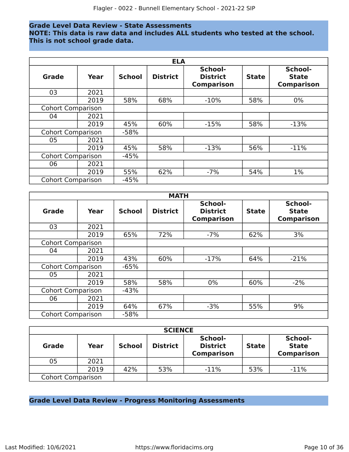# **Grade Level Data Review - State Assessments**

**NOTE: This data is raw data and includes ALL students who tested at the school. This is not school grade data.**

|                          | <b>ELA</b> |               |                 |                                                 |              |                                              |  |  |  |  |
|--------------------------|------------|---------------|-----------------|-------------------------------------------------|--------------|----------------------------------------------|--|--|--|--|
| <b>Grade</b>             | Year       | <b>School</b> | <b>District</b> | School-<br><b>District</b><br><b>Comparison</b> | <b>State</b> | School-<br><b>State</b><br><b>Comparison</b> |  |  |  |  |
| 03                       | 2021       |               |                 |                                                 |              |                                              |  |  |  |  |
|                          | 2019       | 58%           | 68%             | $-10%$                                          | 58%          | $0\%$                                        |  |  |  |  |
| <b>Cohort Comparison</b> |            |               |                 |                                                 |              |                                              |  |  |  |  |
| 04                       | 2021       |               |                 |                                                 |              |                                              |  |  |  |  |
|                          | 2019       | 45%           | 60%             | $-15%$                                          | 58%          | $-13%$                                       |  |  |  |  |
| <b>Cohort Comparison</b> |            | $-58%$        |                 |                                                 |              |                                              |  |  |  |  |
| 05                       | 2021       |               |                 |                                                 |              |                                              |  |  |  |  |
|                          | 2019       | 45%           | 58%             | $-13%$                                          | 56%          | $-11%$                                       |  |  |  |  |
| <b>Cohort Comparison</b> |            | $-45%$        |                 |                                                 |              |                                              |  |  |  |  |
| 06                       | 2021       |               |                 |                                                 |              |                                              |  |  |  |  |
|                          | 2019       | 55%           | 62%             | $-7%$                                           | 54%          | $1\%$                                        |  |  |  |  |
| <b>Cohort Comparison</b> |            | $-45%$        |                 |                                                 |              |                                              |  |  |  |  |

|                          | <b>MATH</b> |               |                 |                                                 |              |                                              |  |  |  |  |
|--------------------------|-------------|---------------|-----------------|-------------------------------------------------|--------------|----------------------------------------------|--|--|--|--|
| <b>Grade</b>             | Year        | <b>School</b> | <b>District</b> | School-<br><b>District</b><br><b>Comparison</b> | <b>State</b> | School-<br><b>State</b><br><b>Comparison</b> |  |  |  |  |
| 03                       | 2021        |               |                 |                                                 |              |                                              |  |  |  |  |
|                          | 2019        | 65%           | 72%             | $-7%$                                           | 62%          | 3%                                           |  |  |  |  |
| <b>Cohort Comparison</b> |             |               |                 |                                                 |              |                                              |  |  |  |  |
| 04                       | 2021        |               |                 |                                                 |              |                                              |  |  |  |  |
|                          | 2019        | 43%           | 60%             | $-17%$                                          | 64%          | $-21%$                                       |  |  |  |  |
| <b>Cohort Comparison</b> |             | $-65%$        |                 |                                                 |              |                                              |  |  |  |  |
| 05                       | 2021        |               |                 |                                                 |              |                                              |  |  |  |  |
|                          | 2019        | 58%           | 58%             | $0\%$                                           | 60%          | $-2%$                                        |  |  |  |  |
| <b>Cohort Comparison</b> |             | $-43%$        |                 |                                                 |              |                                              |  |  |  |  |
| 06                       | 2021        |               |                 |                                                 |              |                                              |  |  |  |  |
|                          | 2019        | 64%           | 67%             | $-3%$                                           | 55%          | 9%                                           |  |  |  |  |
| <b>Cohort Comparison</b> |             | $-58%$        |                 |                                                 |              |                                              |  |  |  |  |

| <b>SCIENCE</b>           |      |               |                 |                                                 |              |                                              |  |  |  |  |
|--------------------------|------|---------------|-----------------|-------------------------------------------------|--------------|----------------------------------------------|--|--|--|--|
| <b>Grade</b>             | Year | <b>School</b> | <b>District</b> | School-<br><b>District</b><br><b>Comparison</b> | <b>State</b> | School-<br><b>State</b><br><b>Comparison</b> |  |  |  |  |
| 05                       | 2021 |               |                 |                                                 |              |                                              |  |  |  |  |
|                          | 2019 | 42%           | 53%             | $-11%$                                          | 53%          | $-11%$                                       |  |  |  |  |
| <b>Cohort Comparison</b> |      |               |                 |                                                 |              |                                              |  |  |  |  |

# **Grade Level Data Review - Progress Monitoring Assessments**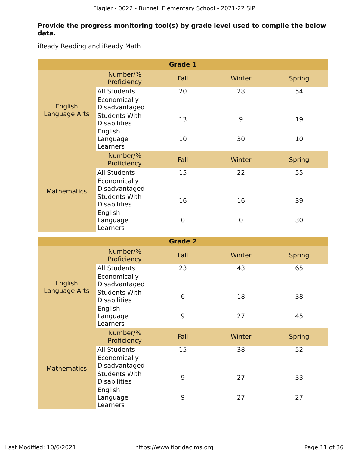# **Provide the progress monitoring tool(s) by grade level used to compile the below data.**

iReady Reading and iReady Math

|                          |                                                        | <b>Grade 1</b> |             |               |
|--------------------------|--------------------------------------------------------|----------------|-------------|---------------|
|                          | Number/%<br>Proficiency                                | Fall           | Winter      | <b>Spring</b> |
| English<br>Language Arts | <b>All Students</b><br>Economically<br>Disadvantaged   | 20             | 28          | 54            |
|                          | <b>Students With</b><br><b>Disabilities</b><br>English | 13             | 9           | 19            |
|                          | Language<br>Learners                                   | 10             | 30          | 10            |
|                          | Number/%<br>Proficiency                                | Fall           | Winter      | <b>Spring</b> |
| <b>Mathematics</b>       | <b>All Students</b><br>Economically<br>Disadvantaged   | 15             | 22          | 55            |
|                          | <b>Students With</b><br><b>Disabilities</b><br>English | 16             | 16          | 39            |
|                          | Language<br>Learners                                   | $\mathbf 0$    | $\mathbf 0$ | 30            |
|                          |                                                        | <b>Grade 2</b> |             |               |
|                          | Number/%                                               | Fall           | Winter      | <b>Spring</b> |
|                          | Proficiency                                            |                |             |               |
| English                  | <b>All Students</b><br>Economically<br>Disadvantaged   | 23             | 43          | 65            |
| Language Arts            | <b>Students With</b><br><b>Disabilities</b>            | 6              | 18          | 38            |
|                          | English<br>Language<br>Learners                        | 9              | 27          | 45            |
|                          | Number/%<br>Proficiency                                | Fall           | Winter      | <b>Spring</b> |
| <b>Mathematics</b>       | <b>All Students</b><br>Economically<br>Disadvantaged   | 15             | 38          | 52            |
|                          | <b>Students With</b><br><b>Disabilities</b><br>English | 9              | 27          | 33            |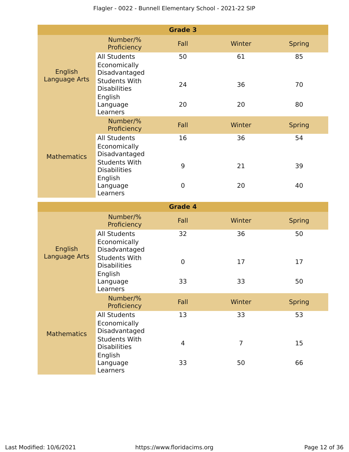|                          |                                                        | <b>Grade 3</b> |        |               |
|--------------------------|--------------------------------------------------------|----------------|--------|---------------|
|                          | Number/%<br>Proficiency                                | Fall           | Winter | <b>Spring</b> |
| English<br>Language Arts | <b>All Students</b><br>Economically<br>Disadvantaged   | 50             | 61     | 85            |
|                          | <b>Students With</b><br><b>Disabilities</b><br>English | 24             | 36     | 70            |
|                          | Language<br>Learners                                   | 20             | 20     | 80            |
|                          | Number/%<br>Proficiency                                | Fall           | Winter | <b>Spring</b> |
| <b>Mathematics</b>       | <b>All Students</b><br>Economically<br>Disadvantaged   | 16             | 36     | 54            |
|                          | <b>Students With</b><br><b>Disabilities</b><br>English | 9              | 21     | 39            |
|                          | Language<br>Learners                                   | $\mathbf 0$    | 20     | 40            |
|                          |                                                        | <b>Grade 4</b> |        |               |
|                          |                                                        |                |        |               |
|                          | Number/%<br>Proficiency                                | Fall           | Winter | <b>Spring</b> |
| English                  | <b>All Students</b><br>Economically<br>Disadvantaged   | 32             | 36     | 50            |
| Language Arts            | <b>Students With</b><br><b>Disabilities</b>            | $\mathbf 0$    | 17     | 17            |
|                          | English<br>Language<br>Learners                        | 33             | 33     | 50            |
|                          | Number/%<br>Proficiency                                | Fall           | Winter | <b>Spring</b> |
| <b>Mathematics</b>       | <b>All Students</b><br>Economically<br>Disadvantaged   | 13             | 33     | 53            |
|                          | <b>Students With</b><br><b>Disabilities</b><br>English | $\overline{4}$ | 7      | 15            |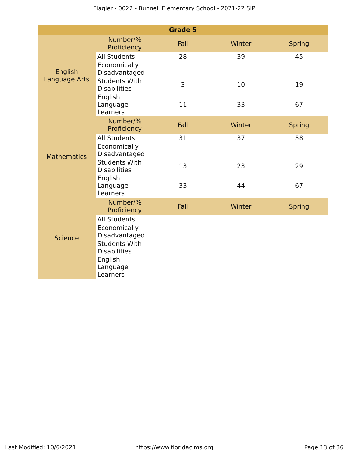|                      |                                                                                                                                        | <b>Grade 5</b> |        |               |
|----------------------|----------------------------------------------------------------------------------------------------------------------------------------|----------------|--------|---------------|
|                      | Number/%<br>Proficiency                                                                                                                | Fall           | Winter | <b>Spring</b> |
| English              | <b>All Students</b><br>Economically<br>Disadvantaged                                                                                   | 28             | 39     | 45            |
| <b>Language Arts</b> | <b>Students With</b><br><b>Disabilities</b><br>English                                                                                 | 3              | 10     | 19            |
|                      | Language<br>Learners                                                                                                                   | 11             | 33     | 67            |
|                      | Number/%<br>Proficiency                                                                                                                | Fall           | Winter | <b>Spring</b> |
| <b>Mathematics</b>   | <b>All Students</b><br>Economically<br>Disadvantaged                                                                                   | 31             | 37     | 58            |
|                      | <b>Students With</b><br><b>Disabilities</b><br>English                                                                                 | 13             | 23     | 29            |
|                      | Language<br>Learners                                                                                                                   | 33             | 44     | 67            |
|                      | Number/%<br>Proficiency                                                                                                                | Fall           | Winter | <b>Spring</b> |
| <b>Science</b>       | <b>All Students</b><br>Economically<br>Disadvantaged<br><b>Students With</b><br><b>Disabilities</b><br>English<br>Language<br>Learners |                |        |               |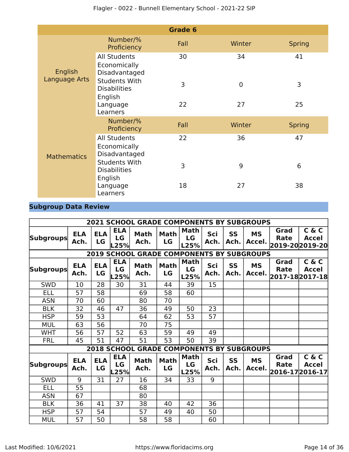|                          |                                                        | Grade 6 |                |               |
|--------------------------|--------------------------------------------------------|---------|----------------|---------------|
| English<br>Language Arts | Number/%<br>Proficiency                                | Fall    | Winter         | <b>Spring</b> |
|                          | <b>All Students</b><br>Economically<br>Disadvantaged   | 30      | 34             | 41            |
|                          | <b>Students With</b><br><b>Disabilities</b><br>English | 3       | $\overline{0}$ | 3             |
|                          | Language<br>Learners                                   | 22      | 27             | 25            |
|                          | Number/%<br>Proficiency                                | Fall    | Winter         | <b>Spring</b> |
| <b>Mathematics</b>       | <b>All Students</b><br>Economically<br>Disadvantaged   | 22      | 36             | 47            |
|                          | <b>Students With</b><br><b>Disabilities</b><br>English | 3       | 9              | 6             |
|                          | Language<br>Learners                                   | 18      | 27             | 38            |

# **Subgroup Data Review**

|                                                  | <b>2021 SCHOOL GRADE COMPONENTS BY SUBGROUPS</b> |                  |                          |                     |                   |                           |             |                   |                                      |                                               |                                         |
|--------------------------------------------------|--------------------------------------------------|------------------|--------------------------|---------------------|-------------------|---------------------------|-------------|-------------------|--------------------------------------|-----------------------------------------------|-----------------------------------------|
| <b>Subgroups</b>                                 | <b>ELA</b><br>Ach.                               | <b>ELA</b><br>LG | <b>ELA</b><br>LG<br>L25% | <b>Math</b><br>Ach. | <b>Math</b><br>LG | <b>Math</b><br>LG<br>L25% | Sci<br>Ach. | <b>SS</b><br>Ach. | <b>MS</b><br>Accel.                  | Grad<br><b>Rate</b>                           | C & C<br><b>Accel</b><br>2019-202019-20 |
| <b>2019 SCHOOL GRADE COMPONENTS BY SUBGROUPS</b> |                                                  |                  |                          |                     |                   |                           |             |                   |                                      |                                               |                                         |
| <b>Subgroups</b>                                 | <b>ELA</b><br>Ach.                               | <b>ELA</b><br>LG | <b>ELA</b><br>LG<br>.25% | <b>Math</b><br>Ach. | <b>Math</b><br>LG | Math<br>LG<br>L25%        | Sci<br>Ach. | <b>SS</b><br>Ach. | <b>MS</b>                            | Grad<br><b>Rate</b><br>Accel. 2017-18 2017-18 | C & C<br><b>Accel</b>                   |
| <b>SWD</b>                                       | 10                                               | 28               | 30                       | 31                  | 44                | 39                        | 15          |                   |                                      |                                               |                                         |
| ELL                                              | 57                                               | 58               |                          | 69                  | 58                | 60                        |             |                   |                                      |                                               |                                         |
| <b>ASN</b>                                       | 70                                               | 60               |                          | 80                  | 70                |                           |             |                   |                                      |                                               |                                         |
| <b>BLK</b>                                       | 32                                               | 46               | 47                       | 36                  | 49                | 50                        | 23          |                   |                                      |                                               |                                         |
| <b>HSP</b>                                       | 59                                               | 53               |                          | 64                  | 62                | 53                        | 57          |                   |                                      |                                               |                                         |
| <b>MUL</b>                                       | 63                                               | 56               |                          | 70                  | 75                |                           |             |                   |                                      |                                               |                                         |
| <b>WHT</b>                                       | 56                                               | 57               | 52                       | 63                  | 59                | 49                        | 49          |                   |                                      |                                               |                                         |
| <b>FRL</b>                                       | 45                                               | 51               | 47                       | 51                  | 53                | 50                        | 39          |                   |                                      |                                               |                                         |
|                                                  |                                                  |                  | <b>2018 SCHOOL</b>       |                     |                   |                           |             |                   | <b>GRADE COMPONENTS BY SUBGROUPS</b> |                                               |                                         |
| <b>Subgroups</b>                                 | <b>ELA</b><br>Ach.                               | <b>ELA</b><br>LG | <b>ELA</b><br>LG<br>L25% | <b>Math</b><br>Ach. | <b>Math</b><br>LG | <b>Math</b><br>LG<br>L25% | Sci<br>Ach. | <b>SS</b><br>Ach. | <b>MS</b>                            | Grad<br><b>Rate</b><br>Accel. 2016-17 2016-17 | C & C<br><b>Accel</b>                   |
| SWD                                              | 9                                                | 31               | 27                       | 16                  | 34                | 33                        | 9           |                   |                                      |                                               |                                         |
| <b>ELL</b>                                       | 55                                               |                  |                          | 68                  |                   |                           |             |                   |                                      |                                               |                                         |
| <b>ASN</b>                                       | 67                                               |                  |                          | 80                  |                   |                           |             |                   |                                      |                                               |                                         |
| <b>BLK</b>                                       | 36                                               | 41               | 37                       | 38                  | 40                | 42                        | 36          |                   |                                      |                                               |                                         |
| <b>HSP</b>                                       | 57                                               | 54               |                          | 57                  | 49                | 40                        | 50          |                   |                                      |                                               |                                         |
| <b>MUL</b>                                       | 57                                               | 50               |                          | 58                  | 58                |                           | 60          |                   |                                      |                                               |                                         |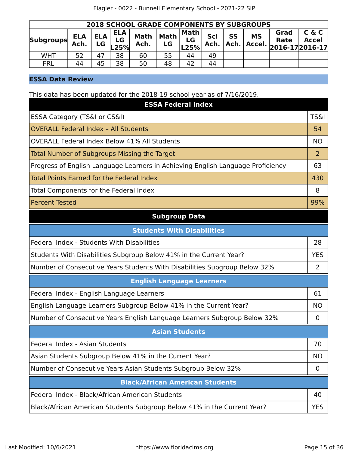| <b>2018 SCHOOL GRADE COMPONENTS BY SUBGROUPS</b> |                    |             |                          |                     |              |                      |             |                   |           |                                             |                       |
|--------------------------------------------------|--------------------|-------------|--------------------------|---------------------|--------------|----------------------|-------------|-------------------|-----------|---------------------------------------------|-----------------------|
| Subgroups                                        | <b>ELA</b><br>Ach. | ELA  <br>LG | <b>ELA</b><br>LG<br>.25% | <b>Math</b><br>Ach. | Math  <br>LG | Math  <br>LG<br>L25% | Sci<br>Ach. | <b>SS</b><br>Ach. | <b>MS</b> | Grad<br>Rate<br>  Accel. $ 2016-17 2016-17$ | C & C<br><b>Accel</b> |
| <b>WHT</b>                                       | 52                 | 47          | 38                       | 60                  | 55           | 44                   | 49          |                   |           |                                             |                       |
| <b>FRL</b>                                       | 44                 | 45          | 38                       | 50                  | 48           | 42                   | 44          |                   |           |                                             |                       |

# **ESSA Data Review**

This data has been updated for the 2018-19 school year as of 7/16/2019.

| <b>ESSA Federal Index</b>                                                       |                 |
|---------------------------------------------------------------------------------|-----------------|
| ESSA Category (TS&I or CS&I)                                                    | <b>TS&amp;I</b> |
| <b>OVERALL Federal Index - All Students</b>                                     | 54              |
| OVERALL Federal Index Below 41% All Students                                    | <b>NO</b>       |
| Total Number of Subgroups Missing the Target                                    | 2               |
| Progress of English Language Learners in Achieving English Language Proficiency | 63              |
| Total Points Earned for the Federal Index                                       | 430             |
| Total Components for the Federal Index                                          | 8               |
| <b>Percent Tested</b>                                                           | 99%             |

# **Subgroup Data**

| <b>Students With Disabilities</b>                                         |            |
|---------------------------------------------------------------------------|------------|
| Federal Index - Students With Disabilities                                | 28         |
| Students With Disabilities Subgroup Below 41% in the Current Year?        | <b>YES</b> |
| Number of Consecutive Years Students With Disabilities Subgroup Below 32% | 2          |
| <b>English Language Learners</b>                                          |            |
| Federal Index - English Language Learners                                 | 61         |
| English Language Learners Subgroup Below 41% in the Current Year?         | <b>NO</b>  |
| Number of Consecutive Years English Language Learners Subgroup Below 32%  | 0          |
| <b>Asian Students</b>                                                     |            |
| Federal Index - Asian Students                                            | 70         |
| Asian Students Subgroup Below 41% in the Current Year?                    | <b>NO</b>  |
| Number of Consecutive Years Asian Students Subgroup Below 32%             | $\Omega$   |
| <b>Black/African American Students</b>                                    |            |
| Federal Index - Black/African American Students                           | 40         |
| Black/African American Students Subgroup Below 41% in the Current Year?   | <b>YES</b> |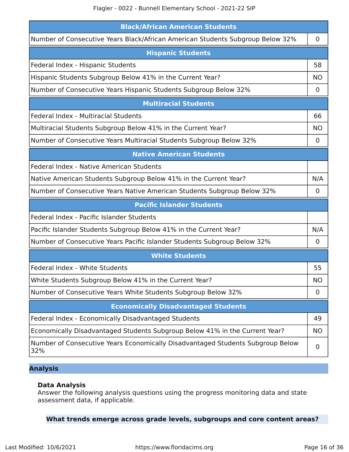| <b>Black/African American Students</b>                                                |             |
|---------------------------------------------------------------------------------------|-------------|
| Number of Consecutive Years Black/African American Students Subgroup Below 32%        | $\mathbf 0$ |
| <b>Hispanic Students</b>                                                              |             |
| Federal Index - Hispanic Students                                                     | 58          |
| Hispanic Students Subgroup Below 41% in the Current Year?                             | <b>NO</b>   |
| Number of Consecutive Years Hispanic Students Subgroup Below 32%                      | 0           |
| <b>Multiracial Students</b>                                                           |             |
| Federal Index - Multiracial Students                                                  | 66          |
| Multiracial Students Subgroup Below 41% in the Current Year?                          | <b>NO</b>   |
| Number of Consecutive Years Multiracial Students Subgroup Below 32%                   | $\mathbf 0$ |
| <b>Native American Students</b>                                                       |             |
| Federal Index - Native American Students                                              |             |
| Native American Students Subgroup Below 41% in the Current Year?                      | N/A         |
| Number of Consecutive Years Native American Students Subgroup Below 32%               | 0           |
| <b>Pacific Islander Students</b>                                                      |             |
| Federal Index - Pacific Islander Students                                             |             |
| Pacific Islander Students Subgroup Below 41% in the Current Year?                     | N/A         |
| Number of Consecutive Years Pacific Islander Students Subgroup Below 32%              | $\mathbf 0$ |
| <b>White Students</b>                                                                 |             |
| Federal Index - White Students                                                        | 55          |
| White Students Subgroup Below 41% in the Current Year?                                | <b>NO</b>   |
| Number of Consecutive Years White Students Subgroup Below 32%                         | 0           |
| <b>Economically Disadvantaged Students</b>                                            |             |
| Federal Index - Economically Disadvantaged Students                                   | 49          |
| Economically Disadvantaged Students Subgroup Below 41% in the Current Year?           | <b>NO</b>   |
| Number of Consecutive Years Economically Disadvantaged Students Subgroup Below<br>32% | 0           |

# **Analysis**

# **Data Analysis**

Answer the following analysis questions using the progress monitoring data and state assessment data, if applicable.

# **What trends emerge across grade levels, subgroups and core content areas?**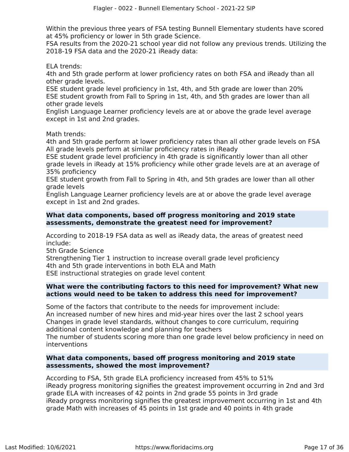Within the previous three years of FSA testing Bunnell Elementary students have scored at 45% proficiency or lower in 5th grade Science.

FSA results from the 2020-21 school year did not follow any previous trends. Utilizing the 2018-19 FSA data and the 2020-21 iReady data:

ELA trends:

4th and 5th grade perform at lower proficiency rates on both FSA and iReady than all other grade levels.

ESE student grade level proficiency in 1st, 4th, and 5th grade are lower than 20% ESE student growth from Fall to Spring in 1st, 4th, and 5th grades are lower than all other grade levels

English Language Learner proficiency levels are at or above the grade level average except in 1st and 2nd grades.

Math trends:

4th and 5th grade perform at lower proficiency rates than all other grade levels on FSA All grade levels perform at similar proficiency rates in iReady

ESE student grade level proficiency in 4th grade is significantly lower than all other grade levels in iReady at 15% proficiency while other grade levels are at an average of 35% proficiency

ESE student growth from Fall to Spring in 4th, and 5th grades are lower than all other grade levels

English Language Learner proficiency levels are at or above the grade level average except in 1st and 2nd grades.

# **What data components, based off progress monitoring and 2019 state assessments, demonstrate the greatest need for improvement?**

According to 2018-19 FSA data as well as iReady data, the areas of greatest need include:

5th Grade Science

Strengthening Tier 1 instruction to increase overall grade level proficiency 4th and 5th grade interventions in both ELA and Math ESE instructional strategies on grade level content

# **What were the contributing factors to this need for improvement? What new actions would need to be taken to address this need for improvement?**

Some of the factors that contribute to the needs for improvement include: An increased number of new hires and mid-year hires over the last 2 school years Changes in grade level standards, without changes to core curriculum, requiring additional content knowledge and planning for teachers

The number of students scoring more than one grade level below proficiency in need on interventions

# **What data components, based off progress monitoring and 2019 state assessments, showed the most improvement?**

According to FSA, 5th grade ELA proficiency increased from 45% to 51% iReady progress monitoring signifies the greatest improvement occurring in 2nd and 3rd grade ELA with increases of 42 points in 2nd grade 55 points in 3rd grade iReady progress monitoring signifies the greatest improvement occurring in 1st and 4th grade Math with increases of 45 points in 1st grade and 40 points in 4th grade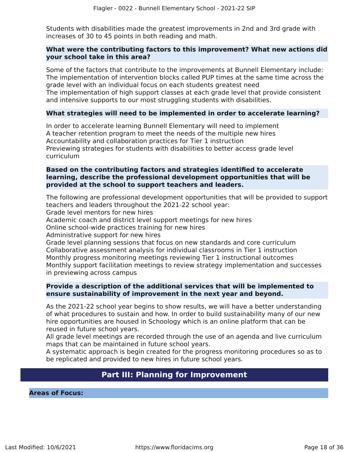Students with disabilities made the greatest improvements in 2nd and 3rd grade with increases of 30 to 45 points in both reading and math.

# **What were the contributing factors to this improvement? What new actions did your school take in this area?**

Some of the factors that contribute to the improvements at Bunnell Elementary include: The implementation of intervention blocks called PUP times at the same time across the grade level with an individual focus on each students greatest need

The implementation of high support classes at each grade level that provide consistent and intensive supports to our most struggling students with disabilities.

# **What strategies will need to be implemented in order to accelerate learning?**

In order to accelerate learning Bunnell Elementary will need to implement A teacher retention program to meet the needs of the multiple new hires Accountability and collaboration practices for Tier 1 instruction Previewing strategies for students with disabilities to better access grade level curriculum

# **Based on the contributing factors and strategies identified to accelerate learning, describe the professional development opportunities that will be provided at the school to support teachers and leaders.**

The following are professional development opportunities that will be provided to support teachers and leaders throughout the 2021-22 school year:

Grade level mentors for new hires

Academic coach and district level support meetings for new hires

Online school-wide practices training for new hires

Administrative support for new hires

Grade level planning sessions that focus on new standards and core curriculum Collaborative assessment analysis for individual classrooms in Tier 1 instruction Monthly progress monitoring meetings reviewing Tier 1 instructional outcomes Monthly support facilitation meetings to review strategy implementation and successes in previewing across campus

# **Provide a description of the additional services that will be implemented to ensure sustainability of improvement in the next year and beyond.**

As the 2021-22 school year begins to show results, we will have a better understanding of what procedures to sustain and how. In order to build sustainability many of our new hire opportunities are housed in Schoology which is an online platform that can be reused in future school years.

All grade level meetings are recorded through the use of an agenda and live curriculum maps that can be maintained in future school years.

A systematic approach is begin created for the progress monitoring procedures so as to be replicated and provided to new hires in future school years.

# **Part III: Planning for Improvement**

<span id="page-17-0"></span>**Areas of Focus:**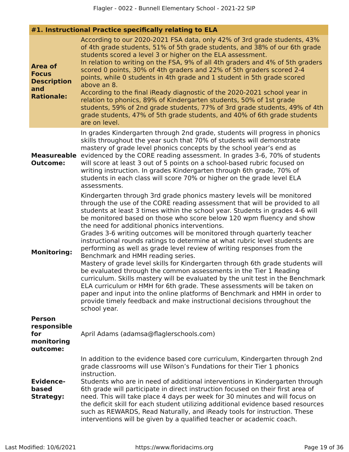|                                                                                  | #1. Instructional Practice specifically relating to ELA                                                                                                                                                                                                                                                                                                                                                                                                                                                                                                                                                                                                                                                                                                                                                                                                                                                                                                                                                                                                                                                                                 |
|----------------------------------------------------------------------------------|-----------------------------------------------------------------------------------------------------------------------------------------------------------------------------------------------------------------------------------------------------------------------------------------------------------------------------------------------------------------------------------------------------------------------------------------------------------------------------------------------------------------------------------------------------------------------------------------------------------------------------------------------------------------------------------------------------------------------------------------------------------------------------------------------------------------------------------------------------------------------------------------------------------------------------------------------------------------------------------------------------------------------------------------------------------------------------------------------------------------------------------------|
| <b>Area of</b><br><b>Focus</b><br><b>Description</b><br>and<br><b>Rationale:</b> | According to our 2020-2021 FSA data, only 42% of 3rd grade students, 43%<br>of 4th grade students, 51% of 5th grade students, and 38% of our 6th grade<br>students scored a level 3 or higher on the ELA assessment.<br>In relation to writing on the FSA, 9% of all 4th graders and 4% of 5th graders<br>scored 0 points, 30% of 4th graders and 22% of 5th graders scored 2-4<br>points, while 0 students in 4th grade and 1 student in 5th grade scored<br>above an 8.<br>According to the final iReady diagnostic of the 2020-2021 school year in<br>relation to phonics, 89% of Kindergarten students, 50% of 1st grade<br>students, 59% of 2nd grade students, 77% of 3rd grade students, 49% of 4th<br>grade students, 47% of 5th grade students, and 40% of 6th grade students<br>are on level.                                                                                                                                                                                                                                                                                                                                 |
| <b>Measureable</b><br><b>Outcome:</b>                                            | In grades Kindergarten through 2nd grade, students will progress in phonics<br>skills throughout the year such that 70% of students will demonstrate<br>mastery of grade level phonics concepts by the school year's end as<br>evidenced by the CORE reading assessment. In grades 3-6, 70% of students<br>will score at least 3 out of 5 points on a school-based rubric focused on<br>writing instruction. In grades Kindergarten through 6th grade, 70% of<br>students in each class will score 70% or higher on the grade level ELA<br>assessments.                                                                                                                                                                                                                                                                                                                                                                                                                                                                                                                                                                                 |
| <b>Monitoring:</b>                                                               | Kindergarten through 3rd grade phonics mastery levels will be monitored<br>through the use of the CORE reading assessment that will be provided to all<br>students at least 3 times within the school year. Students in grades 4-6 will<br>be monitored based on those who score below 120 wpm fluency and show<br>the need for additional phonics interventions.<br>Grades 3-6 writing outcomes will be monitored through quarterly teacher<br>instructional rounds ratings to determine at what rubric level students are<br>performing as well as grade level review of writing responses from the<br>Benchmark and HMH reading series.<br>Mastery of grade level skills for Kindergarten through 6th grade students will<br>be evaluated through the common assessments in the Tier 1 Reading<br>curriculum. Skills mastery will be evaluated by the unit test in the Benchmark<br>ELA curriculum or HMH for 6th grade. These assessments will be taken on<br>paper and input into the online platforms of Benchmark and HMH in order to<br>provide timely feedback and make instructional decisions throughout the<br>school year. |
| <b>Person</b><br>responsible<br>for<br>monitoring<br>outcome:                    | April Adams (adamsa@flaglerschools.com)                                                                                                                                                                                                                                                                                                                                                                                                                                                                                                                                                                                                                                                                                                                                                                                                                                                                                                                                                                                                                                                                                                 |
| <b>Evidence-</b><br>based<br><b>Strategy:</b>                                    | In addition to the evidence based core curriculum, Kindergarten through 2nd<br>grade classrooms will use Wilson's Fundations for their Tier 1 phonics<br>instruction.<br>Students who are in need of additional interventions in Kindergarten through<br>6th grade will participate in direct instruction focused on their first area of<br>need. This will take place 4 days per week for 30 minutes and will focus on<br>the deficit skill for each student utilizing additional evidence based resources<br>such as REWARDS, Read Naturally, and iReady tools for instruction. These<br>interventions will be given by a qualified teacher or academic coach.                                                                                                                                                                                                                                                                                                                                                                                                                                                                        |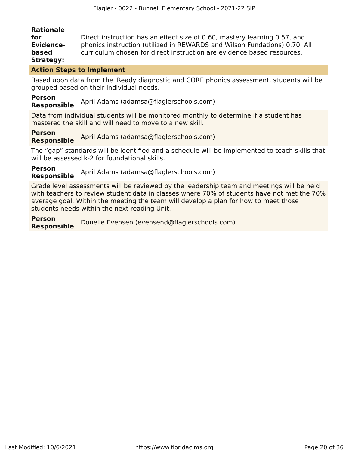# **Rationale**

| for              | Direct instruction has an effect size of 0.60, mastery learning 0.57, and |
|------------------|---------------------------------------------------------------------------|
| <b>Evidence-</b> | phonics instruction (utilized in REWARDS and Wilson Fundations) 0.70. All |
| based            | curriculum chosen for direct instruction are evidence based resources.    |
| <b>Strategy:</b> |                                                                           |

# **Action Steps to Implement**

Based upon data from the iReady diagnostic and CORE phonics assessment, students will be grouped based on their individual needs.

# **Person**

**Responsible** April Adams (adamsa@flaglerschools.com)

Data from individual students will be monitored monthly to determine if a student has mastered the skill and will need to move to a new skill.

**Person Responsible** April Adams (adamsa@flaglerschools.com)

The "gap" standards will be identified and a schedule will be implemented to teach skills that will be assessed k-2 for foundational skills.

**Person Responsible** April Adams (adamsa@flaglerschools.com)

Grade level assessments will be reviewed by the leadership team and meetings will be held with teachers to review student data in classes where 70% of students have not met the 70% average goal. Within the meeting the team will develop a plan for how to meet those students needs within the next reading Unit.

**Person Responsible** Donelle Evensen (evensend@flaglerschools.com)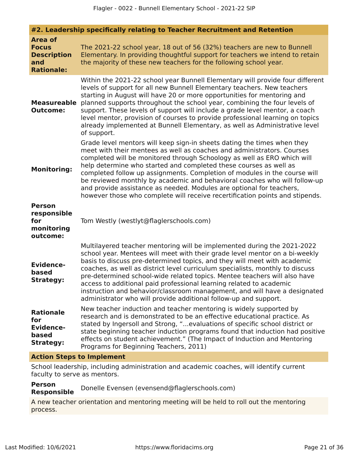|                                                                                  | #2. Leadership specifically relating to Teacher Recruitment and Retention                                                                                                                                                                                                                                                                                                                                                                                                                                                                                                                                                |
|----------------------------------------------------------------------------------|--------------------------------------------------------------------------------------------------------------------------------------------------------------------------------------------------------------------------------------------------------------------------------------------------------------------------------------------------------------------------------------------------------------------------------------------------------------------------------------------------------------------------------------------------------------------------------------------------------------------------|
| <b>Area of</b><br><b>Focus</b><br><b>Description</b><br>and<br><b>Rationale:</b> | The 2021-22 school year, 18 out of 56 (32%) teachers are new to Bunnell<br>Elementary. In providing thoughtful support for teachers we intend to retain<br>the majority of these new teachers for the following school year.                                                                                                                                                                                                                                                                                                                                                                                             |
| <b>Measureable</b><br><b>Outcome:</b>                                            | Within the 2021-22 school year Bunnell Elementary will provide four different<br>levels of support for all new Bunnell Elementary teachers. New teachers<br>starting in August will have 20 or more opportunities for mentoring and<br>planned supports throughout the school year, combining the four levels of<br>support. These levels of support will include a grade level mentor, a coach<br>level mentor, provision of courses to provide professional learning on topics<br>already implemented at Bunnell Elementary, as well as Administrative level<br>of support.                                            |
| <b>Monitoring:</b>                                                               | Grade level mentors will keep sign-in sheets dating the times when they<br>meet with their mentees as well as coaches and administrators. Courses<br>completed will be monitored through Schoology as well as ERO which will<br>help determine who started and completed these courses as well as<br>completed follow up assignments. Completion of modules in the course will<br>be reviewed monthly by academic and behavioral coaches who will follow-up<br>and provide assistance as needed. Modules are optional for teachers,<br>however those who complete will receive recertification points and stipends.      |
| <b>Person</b><br>responsible<br>for<br>monitoring<br>outcome:                    | Tom Westly (westlyt@flaglerschools.com)                                                                                                                                                                                                                                                                                                                                                                                                                                                                                                                                                                                  |
| <b>Evidence-</b><br>based<br><b>Strategy:</b>                                    | Multilayered teacher mentoring will be implemented during the 2021-2022<br>school year. Mentees will meet with their grade level mentor on a bi-weekly<br>basis to discuss pre-determined topics, and they will meet with academic<br>coaches, as well as district level curriculum specialists, monthly to discuss<br>pre-determined school-wide related topics. Mentee teachers will also have<br>access to additional paid professional learning related to academic<br>instruction and behavior/classroom management, and will have a designated<br>administrator who will provide additional follow-up and support. |
| <b>Rationale</b><br>for<br><b>Evidence-</b><br>based<br><b>Strategy:</b>         | New teacher induction and teacher mentoring is widely supported by<br>research and is demonstrated to be an effective educational practice. As<br>stated by Ingersoll and Strong, "evaluations of specific school district or<br>state beginning teacher induction programs found that induction had positive<br>effects on student achievement." (The Impact of Induction and Mentoring<br>Programs for Beginning Teachers, 2011)                                                                                                                                                                                       |

# **Action Steps to Implement**

School leadership, including administration and academic coaches, will identify current faculty to serve as mentors.

**Person Responsible** Donelle Evensen (evensend@flaglerschools.com)

A new teacher orientation and mentoring meeting will be held to roll out the mentoring process.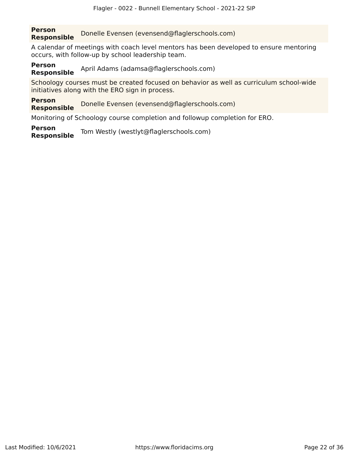#### **Person Responsible** Donelle Evensen (evensend@flaglerschools.com)

A calendar of meetings with coach level mentors has been developed to ensure mentoring occurs, with follow-up by school leadership team.

#### **Person** April Adams (adamsa@flaglerschools.com)

Schoology courses must be created focused on behavior as well as curriculum school-wide initiatives along with the ERO sign in process.

#### **Person Responsible** Donelle Evensen (evensend@flaglerschools.com)

Monitoring of Schoology course completion and followup completion for ERO.

**Person Responsible** Tom Westly (westlyt@flaglerschools.com)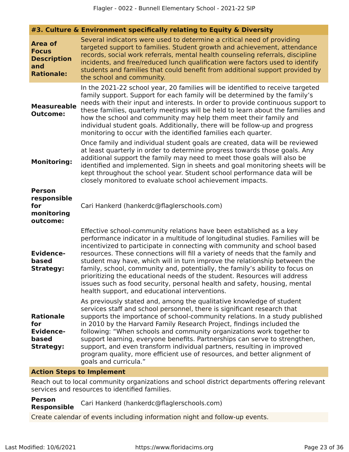**#3. Culture & Environment specifically relating to Equity & Diversity**

| <b>Area of</b><br><b>Focus</b><br><b>Description</b><br>and<br><b>Rationale:</b> | Several indicators were used to determine a critical need of providing<br>targeted support to families. Student growth and achievement, attendance<br>records, social work referrals, mental health counseling referrals, discipline<br>incidents, and free/reduced lunch qualification were factors used to identify<br>students and families that could benefit from additional support provided by<br>the school and community.                                                                                                                                                                                                                                                           |
|----------------------------------------------------------------------------------|----------------------------------------------------------------------------------------------------------------------------------------------------------------------------------------------------------------------------------------------------------------------------------------------------------------------------------------------------------------------------------------------------------------------------------------------------------------------------------------------------------------------------------------------------------------------------------------------------------------------------------------------------------------------------------------------|
| <b>Measureable</b><br><b>Outcome:</b>                                            | In the 2021-22 school year, 20 families will be identified to receive targeted<br>family support. Support for each family will be determined by the family's<br>needs with their input and interests. In order to provide continuous support to<br>these families, quarterly meetings will be held to learn about the families and<br>how the school and community may help them meet their family and<br>individual student goals. Additionally, there will be follow-up and progress<br>monitoring to occur with the identified families each quarter.                                                                                                                                     |
| <b>Monitoring:</b>                                                               | Once family and individual student goals are created, data will be reviewed<br>at least quarterly in order to determine progress towards those goals. Any<br>additional support the family may need to meet those goals will also be<br>identified and implemented. Sign in sheets and goal monitoring sheets will be<br>kept throughout the school year. Student school performance data will be<br>closely monitored to evaluate school achievement impacts.                                                                                                                                                                                                                               |
| <b>Person</b><br>responsible<br>for<br>monitoring<br>outcome:                    | Cari Hankerd (hankerdc@flaglerschools.com)                                                                                                                                                                                                                                                                                                                                                                                                                                                                                                                                                                                                                                                   |
| <b>Evidence-</b><br>based<br><b>Strategy:</b>                                    | Effective school-community relations have been established as a key<br>performance indicator in a multitude of longitudinal studies. Families will be<br>incentivized to participate in connecting with community and school based<br>resources. These connections will fill a variety of needs that the family and<br>student may have, which will in turn improve the relationship between the<br>family, school, community and, potentially, the family's ability to focus on<br>prioritizing the educational needs of the student. Resources will address<br>issues such as food security, personal health and safety, housing, mental<br>health support, and educational interventions. |
| <b>Rationale</b><br>for<br><b>Evidence-</b><br>based<br><b>Strategy:</b>         | As previously stated and, among the qualitative knowledge of student<br>services staff and school personnel, there is significant research that<br>supports the importance of school-community relations. In a study published<br>in 2010 by the Harvard Family Research Project, findings included the<br>following: "When schools and community organizations work together to<br>support learning, everyone benefits. Partnerships can serve to strengthen,<br>support, and even transform individual partners, resulting in improved<br>program quality, more efficient use of resources, and better alignment of<br>goals and curricula."                                               |
| Action Stans to Implament                                                        |                                                                                                                                                                                                                                                                                                                                                                                                                                                                                                                                                                                                                                                                                              |

# **Action Steps to Implement**

Reach out to local community organizations and school district departments offering relevant services and resources to identified families.

#### **Person Responsible** Cari Hankerd (hankerdc@flaglerschools.com)

Create calendar of events including information night and follow-up events.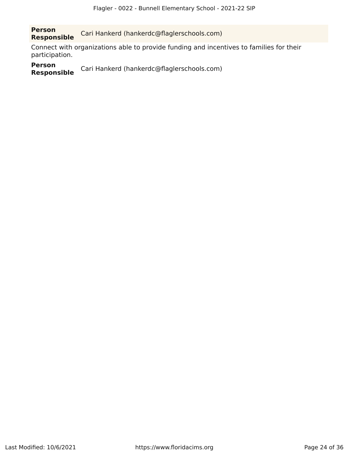**Person Responsible** Cari Hankerd (hankerdc@flaglerschools.com)

Connect with organizations able to provide funding and incentives to families for their participation.

**Person** Cari Hankerd (hankerdc@flaglerschools.com)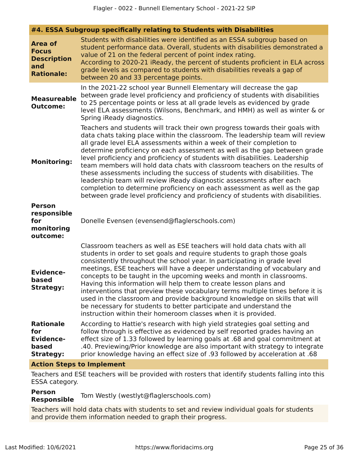**#4. ESSA Subgroup specifically relating to Students with Disabilities**

| <b>Area of</b><br><b>Focus</b><br><b>Description</b><br>and<br><b>Rationale:</b> | Students with disabilities were identified as an ESSA subgroup based on<br>student performance data. Overall, students with disabilities demonstrated a<br>value of 21 on the federal percent of point index rating.<br>According to 2020-21 iReady, the percent of students proficient in ELA across<br>grade levels as compared to students with disabilities reveals a gap of<br>between 20 and 33 percentage points.                                                                                                                                                                                                                                                                                                                                                                              |
|----------------------------------------------------------------------------------|-------------------------------------------------------------------------------------------------------------------------------------------------------------------------------------------------------------------------------------------------------------------------------------------------------------------------------------------------------------------------------------------------------------------------------------------------------------------------------------------------------------------------------------------------------------------------------------------------------------------------------------------------------------------------------------------------------------------------------------------------------------------------------------------------------|
| <b>Measureable</b><br><b>Outcome:</b>                                            | In the 2021-22 school year Bunnell Elementary will decrease the gap<br>between grade level proficiency and proficiency of students with disabilities<br>to 25 percentage points or less at all grade levels as evidenced by grade<br>level ELA assessments (Wilsons, Benchmark, and HMH) as well as winter & or<br>Spring iReady diagnostics.                                                                                                                                                                                                                                                                                                                                                                                                                                                         |
| <b>Monitoring:</b>                                                               | Teachers and students will track their own progress towards their goals with<br>data chats taking place within the classroom. The leadership team will review<br>all grade level ELA assessments within a week of their completion to<br>determine proficiency on each assessment as well as the gap between grade<br>level proficiency and proficiency of students with disabilities. Leadership<br>team members will hold data chats with classroom teachers on the results of<br>these assessments including the success of students with disabilities. The<br>leadership team will review iReady diagnostic assessments after each<br>completion to determine proficiency on each assessment as well as the gap<br>between grade level proficiency and proficiency of students with disabilities. |
| <b>Person</b><br>responsible<br>for<br>monitoring<br>outcome:                    | Donelle Evensen (evensend@flaglerschools.com)                                                                                                                                                                                                                                                                                                                                                                                                                                                                                                                                                                                                                                                                                                                                                         |
| <b>Evidence-</b><br>based<br><b>Strategy:</b>                                    | Classroom teachers as well as ESE teachers will hold data chats with all<br>students in order to set goals and require students to graph those goals<br>consistently throughout the school year. In participating in grade level<br>meetings, ESE teachers will have a deeper understanding of vocabulary and<br>concepts to be taught in the upcoming weeks and month in classrooms.<br>Having this information will help them to create lesson plans and<br>interventions that preview these vocabulary terms multiple times before it is<br>used in the classroom and provide background knowledge on skills that will<br>be necessary for students to better participate and understand the<br>instruction within their homeroom classes when it is provided.                                     |
| <b>Rationale</b><br>for<br><b>Evidence-</b><br>based<br><b>Strategy:</b>         | According to Hattie's research with high yield strategies goal setting and<br>follow through is effective as evidenced by self reported grades having an<br>effect size of 1.33 followed by learning goals at .68 and goal commitment at<br>.40. Previewing/Prior knowledge are also important with strategy to integrate<br>prior knowledge having an effect size of .93 followed by acceleration at .68                                                                                                                                                                                                                                                                                                                                                                                             |
|                                                                                  | Astian Chang to Implement                                                                                                                                                                                                                                                                                                                                                                                                                                                                                                                                                                                                                                                                                                                                                                             |

# **Action Steps to Implement**

Teachers and ESE teachers will be provided with rosters that identify students falling into this ESSA category.

#### **Person Responsible** Tom Westly (westlyt@flaglerschools.com)

Teachers will hold data chats with students to set and review individual goals for students and provide them information needed to graph their progress.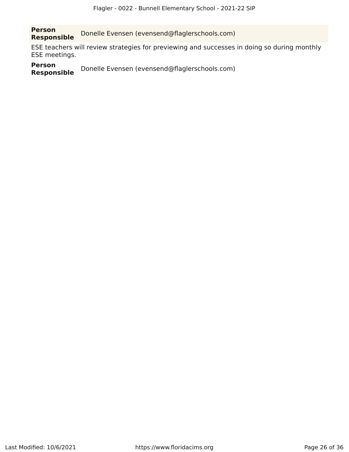**Person Responsible** Donelle Evensen (evensend@flaglerschools.com)

ESE teachers will review strategies for previewing and successes in doing so during monthly ESE meetings.

**Person Donelle Evensen (evensend@flaglerschools.com)**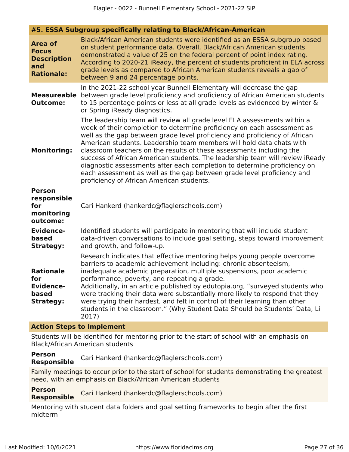|  |  | #5. ESSA Subgroup specifically relating to Black/African-American |
|--|--|-------------------------------------------------------------------|
|  |  |                                                                   |

| <b>Area of</b><br><b>Focus</b><br><b>Description</b><br>and<br><b>Rationale:</b> | Black/African American students were identified as an ESSA subgroup based<br>on student performance data. Overall, Black/African American students<br>demonstrated a value of 25 on the federal percent of point index rating.<br>According to 2020-21 iReady, the percent of students proficient in ELA across<br>grade levels as compared to African American students reveals a gap of<br>between 9 and 24 percentage points.                                                                                                                                                                                                                                     |
|----------------------------------------------------------------------------------|----------------------------------------------------------------------------------------------------------------------------------------------------------------------------------------------------------------------------------------------------------------------------------------------------------------------------------------------------------------------------------------------------------------------------------------------------------------------------------------------------------------------------------------------------------------------------------------------------------------------------------------------------------------------|
| <b>Measureable</b><br><b>Outcome:</b>                                            | In the 2021-22 school year Bunnell Elementary will decrease the gap<br>between grade level proficiency and proficiency of African American students<br>to 15 percentage points or less at all grade levels as evidenced by winter &<br>or Spring iReady diagnostics.                                                                                                                                                                                                                                                                                                                                                                                                 |
| <b>Monitoring:</b>                                                               | The leadership team will review all grade level ELA assessments within a<br>week of their completion to determine proficiency on each assessment as<br>well as the gap between grade level proficiency and proficiency of African<br>American students. Leadership team members will hold data chats with<br>classroom teachers on the results of these assessments including the<br>success of African American students. The leadership team will review iReady<br>diagnostic assessments after each completion to determine proficiency on<br>each assessment as well as the gap between grade level proficiency and<br>proficiency of African American students. |
| <b>Person</b><br>responsible<br>for<br>monitoring<br>outcome:                    | Cari Hankerd (hankerdc@flaglerschools.com)                                                                                                                                                                                                                                                                                                                                                                                                                                                                                                                                                                                                                           |
| <b>Evidence-</b><br>based<br><b>Strategy:</b>                                    | Identified students will participate in mentoring that will include student<br>data-driven conversations to include goal setting, steps toward improvement<br>and growth, and follow-up.                                                                                                                                                                                                                                                                                                                                                                                                                                                                             |
| <b>Rationale</b><br>for<br><b>Evidence-</b><br>based<br><b>Strategy:</b>         | Research indicates that effective mentoring helps young people overcome<br>barriers to academic achievement including: chronic absenteeism,<br>inadequate academic preparation, multiple suspensions, poor academic<br>performance, poverty, and repeating a grade.<br>Additionally, in an article published by edutopia.org, "surveyed students who<br>were tracking their data were substantially more likely to respond that they<br>were trying their hardest, and felt in control of their learning than other<br>students in the classroom." (Why Student Data Should be Students' Data, Li<br>2017)                                                           |

#### **Action Steps to Implement**

Students will be identified for mentoring prior to the start of school with an emphasis on Black/African American students

**Person** Cari Hankerd (hankerdc@flaglerschools.com)

Family meetings to occur prior to the start of school for students demonstrating the greatest need, with an emphasis on Black/African American students

**Person Responsible** Cari Hankerd (hankerdc@flaglerschools.com)

Mentoring with student data folders and goal setting frameworks to begin after the first midterm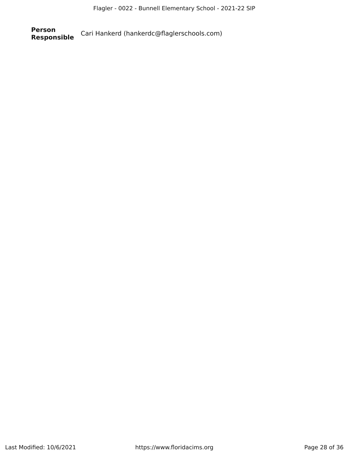**Person Responsible** Cari Hankerd (hankerdc@flaglerschools.com)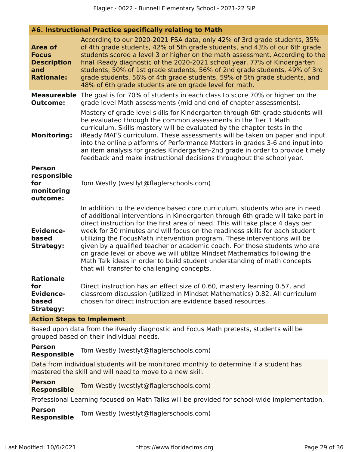# **#6. Instructional Practice specifically relating to Math**

| <b>Area of</b><br><b>Focus</b><br><b>Description</b><br>and<br><b>Rationale:</b> | According to our 2020-2021 FSA data, only 42% of 3rd grade students, 35%<br>of 4th grade students, 42% of 5th grade students, and 43% of our 6th grade<br>students scored a level 3 or higher on the math assessment. According to the<br>final iReady diagnostic of the 2020-2021 school year, 77% of Kindergarten<br>students, 50% of 1st grade students, 56% of 2nd grade students, 49% of 3rd<br>grade students, 56% of 4th grade students, 59% of 5th grade students, and<br>48% of 6th grade students are on grade level for math.                                                                                                                                                           |
|----------------------------------------------------------------------------------|----------------------------------------------------------------------------------------------------------------------------------------------------------------------------------------------------------------------------------------------------------------------------------------------------------------------------------------------------------------------------------------------------------------------------------------------------------------------------------------------------------------------------------------------------------------------------------------------------------------------------------------------------------------------------------------------------|
| <b>Measureable</b><br><b>Outcome:</b>                                            | The goal is for 70% of students in each class to score 70% or higher on the<br>grade level Math assessments (mid and end of chapter assessments).                                                                                                                                                                                                                                                                                                                                                                                                                                                                                                                                                  |
| <b>Monitoring:</b>                                                               | Mastery of grade level skills for Kindergarten through 6th grade students will<br>be evaluated through the common assessments in the Tier 1 Math<br>curriculum. Skills mastery will be evaluated by the chapter tests in the<br>iReady MAFS curriculum. These assessments will be taken on paper and input<br>into the online platforms of Performance Matters in grades 3-6 and input into<br>an item analysis for grades Kindergarten-2nd grade in order to provide timely<br>feedback and make instructional decisions throughout the school year.                                                                                                                                              |
| <b>Person</b><br>responsible<br>for<br>monitoring<br>outcome:                    | Tom Westly (westlyt@flaglerschools.com)                                                                                                                                                                                                                                                                                                                                                                                                                                                                                                                                                                                                                                                            |
| <b>Evidence-</b><br>based<br><b>Strategy:</b>                                    | In addition to the evidence based core curriculum, students who are in need<br>of additional interventions in Kindergarten through 6th grade will take part in<br>direct instruction for the first area of need. This will take place 4 days per<br>week for 30 minutes and will focus on the readiness skills for each student<br>utilizing the FocusMath intervention program. These interventions will be<br>given by a qualified teacher or academic coach. For those students who are<br>on grade level or above we will utilize Mindset Mathematics following the<br>Math Talk ideas in order to build student understanding of math concepts<br>that will transfer to challenging concepts. |
| <b>Rationale</b><br>for<br><b>Evidence-</b><br>based<br><b>Strategy:</b>         | Direct instruction has an effect size of 0.60, mastery learning 0.57, and<br>classroom discussion (utilized in Mindset Mathematics) 0.82. All curriculum<br>chosen for direct instruction are evidence based resources.                                                                                                                                                                                                                                                                                                                                                                                                                                                                            |
| <b>Action Steps to Implement</b>                                                 |                                                                                                                                                                                                                                                                                                                                                                                                                                                                                                                                                                                                                                                                                                    |
|                                                                                  | Based upon data from the iReady diagnostic and Focus Math pretests, students will be<br>grouped based on their individual needs.                                                                                                                                                                                                                                                                                                                                                                                                                                                                                                                                                                   |

**Person Responsible** Tom Westly (westlyt@flaglerschools.com)

Data from individual students will be monitored monthly to determine if a student has mastered the skill and will need to move to a new skill.

**Person Responsible** Tom Westly (westlyt@flaglerschools.com)

Professional Learning focused on Math Talks will be provided for school-wide implementation.

**Person Responsible** Tom Westly (westlyt@flaglerschools.com)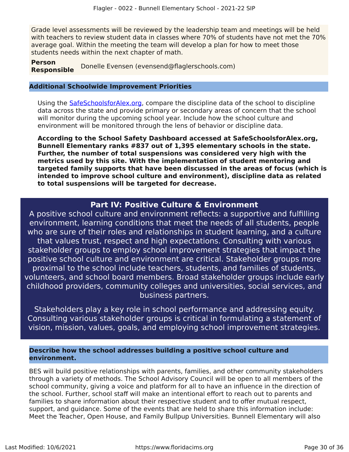Grade level assessments will be reviewed by the leadership team and meetings will be held with teachers to review student data in classes where 70% of students have not met the 70% average goal. Within the meeting the team will develop a plan for how to meet those students needs within the next chapter of math.

**Person Responsible** Donelle Evensen (evensend@flaglerschools.com)

#### **Additional Schoolwide Improvement Priorities**

Using the [SafeSchoolsforAlex.org,](https://www.safeschoolsforalex.org/fl-school-safety-dashboard/) compare the discipline data of the school to discipline data across the state and provide primary or secondary areas of concern that the school will monitor during the upcoming school year. Include how the school culture and environment will be monitored through the lens of behavior or discipline data.

**According to the School Safety Dashboard accessed at SafeSchoolsforAlex.org, Bunnell Elementary ranks #837 out of 1,395 elementary schools in the state. Further, the number of total suspensions was considered very high with the metrics used by this site. With the implementation of student mentoring and targeted family supports that have been discussed in the areas of focus (which is intended to improve school culture and environment), discipline data as related to total suspensions will be targeted for decrease.**

# **Part IV: Positive Culture & Environment**

<span id="page-29-0"></span>A positive school culture and environment reflects: a supportive and fulfilling environment, learning conditions that meet the needs of all students, people who are sure of their roles and relationships in student learning, and a culture that values trust, respect and high expectations. Consulting with various stakeholder groups to employ school improvement strategies that impact the positive school culture and environment are critical. Stakeholder groups more proximal to the school include teachers, students, and families of students, volunteers, and school board members. Broad stakeholder groups include early childhood providers, community colleges and universities, social services, and business partners.

Stakeholders play a key role in school performance and addressing equity. Consulting various stakeholder groups is critical in formulating a statement of vision, mission, values, goals, and employing school improvement strategies.

# **Describe how the school addresses building a positive school culture and environment.**

BES will build positive relationships with parents, families, and other community stakeholders through a variety of methods. The School Advisory Council will be open to all members of the school community, giving a voice and platform for all to have an influence in the direction of the school. Further, school staff will make an intentional effort to reach out to parents and families to share information about their respective student and to offer mutual respect, support, and guidance. Some of the events that are held to share this information include: Meet the Teacher, Open House, and Family Bullpup Universities. Bunnell Elementary will also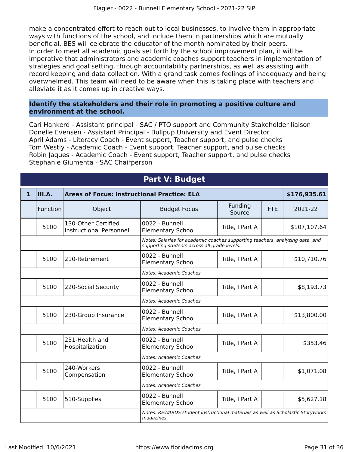make a concentrated effort to reach out to local businesses, to involve them in appropriate ways with functions of the school, and include them in partnerships which are mutually beneficial. BES will celebrate the educator of the month nominated by their peers. In order to meet all academic goals set forth by the school improvement plan, it will be imperative that administrators and academic coaches support teachers in implementation of strategies and goal setting, through accountability partnerships, as well as assisting with record keeping and data collection. With a grand task comes feelings of inadequacy and being overwhelmed. This team will need to be aware when this is taking place with teachers and alleviate it as it comes up in creative ways.

# **Identify the stakeholders and their role in promoting a positive culture and environment at the school.**

Cari Hankerd - Assistant principal - SAC / PTO support and Community Stakeholder liaison Donelle Evensen - Assistant Principal - Bullpup University and Event Director April Adams - Literacy Coach - Event support, Teacher support, and pulse checks Tom Westly - Academic Coach - Event support, Teacher support, and pulse checks Robin Jaques - Academic Coach - Event support, Teacher support, and pulse checks Stephanie Giumenta - SAC Chairperson

<span id="page-30-0"></span>

| <b>Part V: Budget</b> |                                                                                              |                                                       |                                                                                                                               |                   |            |              |
|-----------------------|----------------------------------------------------------------------------------------------|-------------------------------------------------------|-------------------------------------------------------------------------------------------------------------------------------|-------------------|------------|--------------|
| $\mathbf{1}$          | III.A.<br><b>Areas of Focus: Instructional Practice: ELA</b>                                 |                                                       |                                                                                                                               |                   |            | \$176,935.61 |
|                       | Function                                                                                     | Object                                                | <b>Budget Focus</b>                                                                                                           | Funding<br>Source | <b>FTE</b> | 2021-22      |
|                       | 5100                                                                                         | 130-Other Certified<br><b>Instructional Personnel</b> | 0022 - Bunnell<br><b>Elementary School</b>                                                                                    | Title, I Part A   |            | \$107,107.64 |
|                       |                                                                                              |                                                       | Notes: Salaries for academic coaches supporting teachers, analyzing data, and<br>supporting students across all grade levels. |                   |            |              |
|                       | 5100                                                                                         | 210-Retirement                                        | 0022 - Bunnell<br><b>Elementary School</b>                                                                                    | Title, I Part A   |            | \$10,710.76  |
|                       |                                                                                              |                                                       | Notes: Academic Coaches                                                                                                       |                   |            |              |
|                       | 5100                                                                                         | 220-Social Security                                   | 0022 - Bunnell<br><b>Elementary School</b>                                                                                    | Title, I Part A   |            | \$8,193.73   |
|                       |                                                                                              |                                                       | Notes: Academic Coaches                                                                                                       |                   |            |              |
|                       | 5100                                                                                         | 230-Group Insurance                                   | 0022 - Bunnell<br><b>Elementary School</b>                                                                                    | Title, I Part A   |            | \$13,800.00  |
|                       |                                                                                              |                                                       | Notes: Academic Coaches                                                                                                       |                   |            |              |
|                       | 5100                                                                                         | 231-Health and<br>Hospitalization                     | 0022 - Bunnell<br><b>Elementary School</b>                                                                                    | Title, I Part A   |            | \$353.46     |
|                       |                                                                                              |                                                       | Notes: Academic Coaches                                                                                                       |                   |            |              |
|                       | 5100                                                                                         | 240-Workers<br>Compensation                           | 0022 - Bunnell<br><b>Elementary School</b>                                                                                    | Title, I Part A   |            | \$1,071.08   |
|                       |                                                                                              |                                                       | Notes: Academic Coaches                                                                                                       |                   |            |              |
|                       | 5100                                                                                         | 510-Supplies                                          | 0022 - Bunnell<br><b>Elementary School</b>                                                                                    | Title, I Part A   |            | \$5,627.18   |
|                       | Notes: REWARDS student instructional materials as well as Scholastic Storyworks<br>magazines |                                                       |                                                                                                                               |                   |            |              |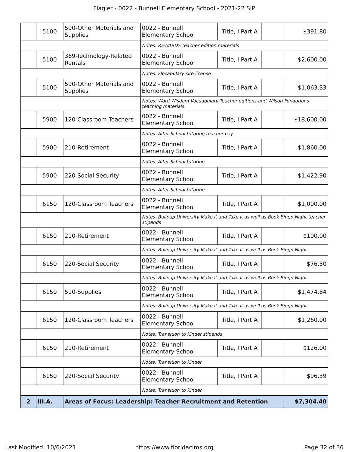|              | 5100   | 590-Other Materials and<br><b>Supplies</b> | 0022 - Bunnell<br><b>Elementary School</b>                                                    | Title, I Part A | \$391.80    |
|--------------|--------|--------------------------------------------|-----------------------------------------------------------------------------------------------|-----------------|-------------|
|              |        |                                            | Notes: REWARDS teacher edition materials                                                      |                 |             |
|              | 5100   | 369-Technology-Related<br>Rentals          | 0022 - Bunnell<br><b>Elementary School</b>                                                    | Title, I Part A | \$2,600.00  |
|              |        |                                            | Notes: Flocabulary site license                                                               |                 |             |
|              | 5100   | 590-Other Materials and<br><b>Supplies</b> | 0022 - Bunnell<br><b>Elementary School</b>                                                    | Title, I Part A | \$1,063.33  |
|              |        |                                            | Notes: Word Wisdom Vocuabulary Teacher editions and Wilson Fundations<br>teaching materials.  |                 |             |
|              | 5900   | 120-Classroom Teachers                     | 0022 - Bunnell<br><b>Elementary School</b>                                                    | Title, I Part A | \$18,600.00 |
|              |        |                                            | Notes: After School tutoring teacher pay                                                      |                 |             |
|              | 5900   | 210-Retirement                             | 0022 - Bunnell<br><b>Elementary School</b>                                                    | Title, I Part A | \$1,860.00  |
|              |        |                                            | Notes: After School tutoring                                                                  |                 |             |
|              | 5900   | 220-Social Security                        | 0022 - Bunnell<br><b>Elementary School</b>                                                    | Title, I Part A | \$1,422.90  |
|              |        |                                            | Notes: After School tutoring                                                                  |                 |             |
|              | 6150   | 120-Classroom Teachers                     | 0022 - Bunnell<br><b>Elementary School</b>                                                    | Title, I Part A | \$1,000.00  |
|              |        |                                            | Notes: Bullpup University Make it and Take it as well as Book Bingo Night teacher<br>stipends |                 |             |
|              | 6150   | 210-Retirement                             | 0022 - Bunnell<br><b>Elementary School</b>                                                    | Title, I Part A | \$100.00    |
|              |        |                                            | Notes: Bullpup University Make it and Take it as well as Book Bingo Night                     |                 |             |
|              | 6150   | 220-Social Security                        | 0022 - Bunnell<br><b>Elementary School</b>                                                    | Title, I Part A | \$76.50     |
|              |        |                                            | Notes: Bullpup University Make it and Take it as well as Book Bingo Night                     |                 |             |
|              | 6150   | 510-Supplies                               | 0022 - Bunnell<br><b>Elementary School</b>                                                    | Title, I Part A | \$1,474.84  |
|              |        |                                            | Notes: Bullpup University Make it and Take it as well as Book Bingo Night                     |                 |             |
|              | 6150   | 120-Classroom Teachers                     | 0022 - Bunnell<br><b>Elementary School</b>                                                    | Title, I Part A | \$1,260.00  |
|              |        |                                            | Notes: Transition to Kinder stipends                                                          |                 |             |
|              | 6150   | 210-Retirement                             | 0022 - Bunnell<br><b>Elementary School</b>                                                    | Title, I Part A | \$126.00    |
|              |        |                                            | Notes: Transition to Kinder                                                                   |                 |             |
|              | 6150   | 220-Social Security                        | 0022 - Bunnell<br><b>Elementary School</b>                                                    | Title, I Part A | \$96.39     |
|              |        |                                            | Notes: Transition to Kinder                                                                   |                 |             |
| $\mathbf{2}$ | III.A. |                                            | Areas of Focus: Leadership: Teacher Recruitment and Retention                                 |                 | \$7,304.40  |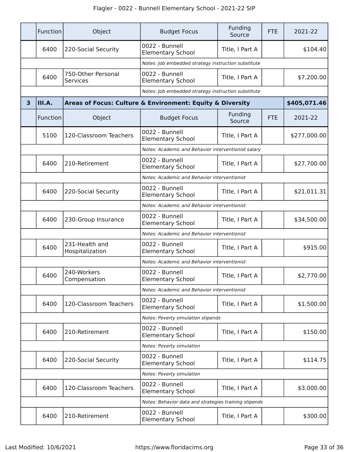|                         | Function | Object                                | <b>Budget Focus</b>                                       | Funding<br>Source | <b>FTE</b> | 2021-22      |
|-------------------------|----------|---------------------------------------|-----------------------------------------------------------|-------------------|------------|--------------|
|                         | 6400     | 220-Social Security                   | 0022 - Bunnell<br><b>Elementary School</b>                | Title, I Part A   |            | \$104.40     |
|                         |          |                                       | Notes: Job embedded strategy instruction substitute       |                   |            |              |
|                         | 6400     | 750-Other Personal<br><b>Services</b> | 0022 - Bunnell<br><b>Elementary School</b>                | Title, I Part A   |            | \$7,200.00   |
|                         |          |                                       | Notes: Job embedded strategy instruction substitute       |                   |            |              |
| $\overline{\mathbf{3}}$ | III.A.   |                                       | Areas of Focus: Culture & Environment: Equity & Diversity |                   |            | \$405,071.46 |
|                         | Function | Object                                | <b>Budget Focus</b>                                       | Funding<br>Source | <b>FTE</b> | 2021-22      |
|                         | 5100     | 120-Classroom Teachers                | 0022 - Bunnell<br><b>Elementary School</b>                | Title, I Part A   |            | \$277,000.00 |
|                         |          |                                       | Notes: Academic and Behavior interventionist salary       |                   |            |              |
|                         | 6400     | 210-Retirement                        | 0022 - Bunnell<br><b>Elementary School</b>                | Title, I Part A   |            | \$27,700.00  |
|                         |          |                                       | Notes: Academic and Behavior interventionist              |                   |            |              |
|                         | 6400     | 220-Social Security                   | 0022 - Bunnell<br><b>Elementary School</b>                | Title, I Part A   |            | \$21,011.31  |
|                         |          |                                       | Notes: Academic and Behavior interventionist              |                   |            |              |
|                         | 6400     | 230-Group Insurance                   | 0022 - Bunnell<br><b>Elementary School</b>                | Title, I Part A   |            | \$34,500.00  |
|                         |          |                                       | Notes: Academic and Behavior interventionist              |                   |            |              |
|                         | 6400     | 231-Health and<br>Hospitalization     | 0022 - Bunnell<br><b>Elementary School</b>                | Title, I Part A   |            | \$915.00     |
|                         |          |                                       | Notes: Academic and Behavior interventionist              |                   |            |              |
|                         | 6400     | 240-Workers<br>Compensation           | 0022 - Bunnell<br><b>Elementary School</b>                | Title, I Part A   |            | \$2,770.00   |
|                         |          |                                       | Notes: Academic and Behavior interventionist              |                   |            |              |
|                         | 6400     | 120-Classroom Teachers                | 0022 - Bunnell<br><b>Elementary School</b>                | Title, I Part A   |            | \$1,500.00   |
|                         |          |                                       | Notes: Poverty simulation stipends                        |                   |            |              |
|                         | 6400     | 210-Retirement                        | 0022 - Bunnell<br><b>Elementary School</b>                | Title, I Part A   |            | \$150.00     |
|                         |          |                                       | Notes: Poverty simulation                                 |                   |            |              |
|                         | 6400     | 220-Social Security                   | 0022 - Bunnell<br><b>Elementary School</b>                | Title, I Part A   |            | \$114.75     |
|                         |          |                                       | Notes: Poverty simulation                                 |                   |            |              |
|                         | 6400     | 120-Classroom Teachers                | 0022 - Bunnell<br><b>Elementary School</b>                | Title, I Part A   |            | \$3,000.00   |
|                         |          |                                       | Notes: Behavior data and strategies training stipends     |                   |            |              |
|                         | 6400     | 210-Retirement                        | 0022 - Bunnell<br><b>Elementary School</b>                | Title, I Part A   |            | \$300.00     |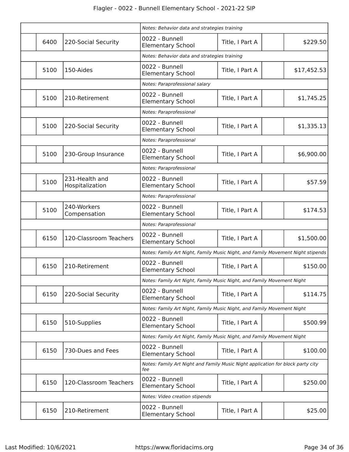|      |                                   | Notes: Behavior data and strategies training                                           |                 |             |
|------|-----------------------------------|----------------------------------------------------------------------------------------|-----------------|-------------|
| 6400 | 220-Social Security               | 0022 - Bunnell<br><b>Elementary School</b>                                             | Title, I Part A | \$229.50    |
|      |                                   | Notes: Behavior data and strategies training                                           |                 |             |
| 5100 | 150-Aides                         | 0022 - Bunnell<br><b>Elementary School</b>                                             | Title, I Part A | \$17,452.53 |
|      |                                   | Notes: Paraprofessional salary                                                         |                 |             |
| 5100 | 210-Retirement                    | 0022 - Bunnell<br><b>Elementary School</b>                                             | Title, I Part A | \$1,745.25  |
|      |                                   | Notes: Paraprofessional                                                                |                 |             |
| 5100 | 220-Social Security               | 0022 - Bunnell<br><b>Elementary School</b>                                             | Title, I Part A | \$1,335.13  |
|      |                                   | Notes: Paraprofessional                                                                |                 |             |
| 5100 | 230-Group Insurance               | 0022 - Bunnell<br><b>Elementary School</b>                                             | Title, I Part A | \$6,900.00  |
|      |                                   | Notes: Paraprofessional                                                                |                 |             |
| 5100 | 231-Health and<br>Hospitalization | 0022 - Bunnell<br><b>Elementary School</b>                                             | Title, I Part A | \$57.59     |
|      |                                   | Notes: Paraprofessional                                                                |                 |             |
| 5100 | 240-Workers<br>Compensation       | 0022 - Bunnell<br><b>Elementary School</b>                                             | Title, I Part A | \$174.53    |
|      |                                   | Notes: Paraprofessional                                                                |                 |             |
| 6150 | 120-Classroom Teachers            | 0022 - Bunnell<br><b>Elementary School</b>                                             | Title, I Part A | \$1,500.00  |
|      |                                   | Notes: Family Art Night, Family Music Night, and Family Movement Night stipends        |                 |             |
| 6150 | 210-Retirement                    | 0022 - Bunnell<br><b>Elementary School</b>                                             | Title, I Part A | \$150.00    |
|      |                                   | Notes: Family Art Night, Family Music Night, and Family Movement Night                 |                 |             |
| 6150 | 220-Social Security               | 0022 - Bunnell<br><b>Elementary School</b>                                             | Title, I Part A | \$114.75    |
|      |                                   | Notes: Family Art Night, Family Music Night, and Family Movement Night                 |                 |             |
| 6150 | 510-Supplies                      | 0022 - Bunnell<br><b>Elementary School</b>                                             | Title, I Part A | \$500.99    |
|      |                                   | Notes: Family Art Night, Family Music Night, and Family Movement Night                 |                 |             |
| 6150 | 730-Dues and Fees                 | 0022 - Bunnell<br><b>Elementary School</b>                                             | Title, I Part A | \$100.00    |
|      |                                   | Notes: Family Art Night and Family Music Night application for block party city<br>fee |                 |             |
| 6150 | 120-Classroom Teachers            | 0022 - Bunnell<br><b>Elementary School</b>                                             | Title, I Part A | \$250.00    |
|      |                                   | Notes: Video creation stipends                                                         |                 |             |
| 6150 | 210-Retirement                    | 0022 - Bunnell<br><b>Elementary School</b>                                             | Title, I Part A | \$25.00     |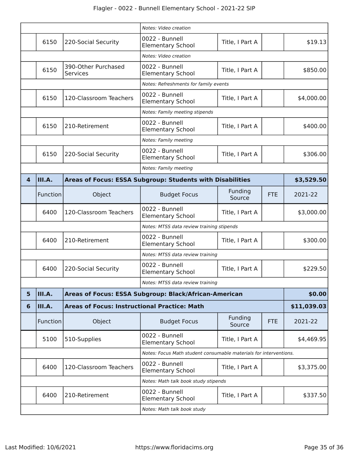|   |                                                                   |                                                                 | Notes: Video creation                                                   |                   |            |            |  |  |
|---|-------------------------------------------------------------------|-----------------------------------------------------------------|-------------------------------------------------------------------------|-------------------|------------|------------|--|--|
|   | 6150                                                              | 220-Social Security                                             | 0022 - Bunnell<br><b>Elementary School</b>                              | Title, I Part A   |            | \$19.13    |  |  |
|   |                                                                   |                                                                 | Notes: Video creation                                                   |                   |            |            |  |  |
|   | 6150                                                              | 390-Other Purchased<br><b>Services</b>                          | 0022 - Bunnell<br><b>Elementary School</b>                              | Title, I Part A   |            | \$850.00   |  |  |
|   |                                                                   |                                                                 | Notes: Refreshments for family events                                   |                   |            |            |  |  |
|   | 6150                                                              | 120-Classroom Teachers                                          | 0022 - Bunnell<br><b>Elementary School</b>                              | Title, I Part A   |            | \$4,000.00 |  |  |
|   |                                                                   |                                                                 | Notes: Family meeting stipends                                          |                   |            |            |  |  |
|   | 6150                                                              | 210-Retirement                                                  | 0022 - Bunnell<br><b>Elementary School</b>                              | Title, I Part A   |            | \$400.00   |  |  |
|   | Notes: Family meeting                                             |                                                                 |                                                                         |                   |            |            |  |  |
|   | 6150                                                              | 220-Social Security                                             | 0022 - Bunnell<br><b>Elementary School</b>                              | Title, I Part A   |            | \$306.00   |  |  |
|   |                                                                   |                                                                 | Notes: Family meeting                                                   |                   |            |            |  |  |
| 4 | III.A.                                                            |                                                                 | Areas of Focus: ESSA Subgroup: Students with Disabilities<br>\$3,529.50 |                   |            |            |  |  |
|   | Function                                                          | Object                                                          | <b>Budget Focus</b>                                                     | Funding<br>Source | <b>FTE</b> | 2021-22    |  |  |
|   | 6400                                                              | 120-Classroom Teachers                                          | 0022 - Bunnell<br><b>Elementary School</b>                              | Title, I Part A   |            | \$3,000.00 |  |  |
|   |                                                                   | Notes: MTSS data review training stipends                       |                                                                         |                   |            |            |  |  |
|   | 6400                                                              | 210-Retirement                                                  | 0022 - Bunnell<br><b>Elementary School</b>                              | Title, I Part A   |            | \$300.00   |  |  |
|   | Notes: MTSS data review training                                  |                                                                 |                                                                         |                   |            |            |  |  |
|   | 6400                                                              | 220-Social Security                                             | 0022 - Bunnell<br><b>Elementary School</b>                              | Title, I Part A   |            | \$229.50   |  |  |
|   |                                                                   |                                                                 | Notes: MTSS data review training                                        |                   |            |            |  |  |
| 5 | III.A.                                                            | \$0.00<br>Areas of Focus: ESSA Subgroup: Black/African-American |                                                                         |                   |            |            |  |  |
| 6 | III.A.                                                            | <b>Areas of Focus: Instructional Practice: Math</b>             | \$11,039.03                                                             |                   |            |            |  |  |
|   | Function                                                          | Object                                                          | <b>Budget Focus</b>                                                     | Funding<br>Source | <b>FTE</b> | 2021-22    |  |  |
|   | 5100                                                              | 510-Supplies                                                    | 0022 - Bunnell<br><b>Elementary School</b>                              | Title, I Part A   |            | \$4,469.95 |  |  |
|   | Notes: Focus Math student consumable materials for interventions. |                                                                 |                                                                         |                   |            |            |  |  |
|   | 6400                                                              | 120-Classroom Teachers                                          | 0022 - Bunnell<br><b>Elementary School</b>                              | Title, I Part A   |            | \$3,375.00 |  |  |
|   |                                                                   |                                                                 | Notes: Math talk book study stipends                                    |                   |            |            |  |  |
|   | 6400                                                              | 210-Retirement                                                  | 0022 - Bunnell<br><b>Elementary School</b>                              | Title, I Part A   |            | \$337.50   |  |  |
|   | Notes: Math talk book study                                       |                                                                 |                                                                         |                   |            |            |  |  |